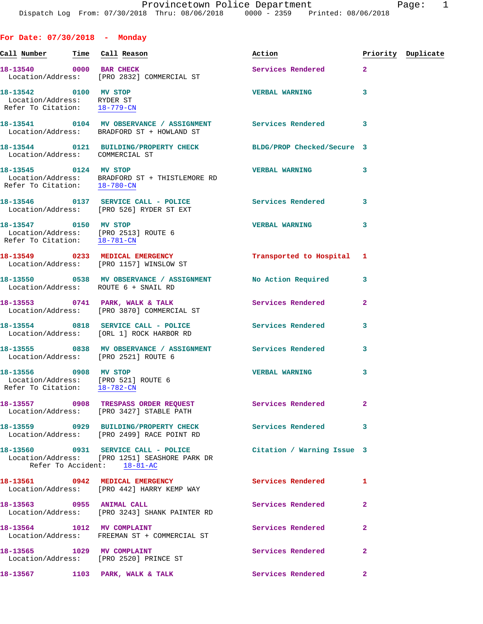**For Date: 07/30/2018 - Monday Call Number Time Call Reason Action Priority Duplicate 18-13540** 0000 BAR CHECK **Services Rendered** 2 Location/Address: [PRO 2832] COMMERCIAL ST **18-13542 0100 MV STOP VERBAL WARNING 3**  Location/Address: RYDER ST Refer To Citation: 18-779-CN **18-13541 0104 MV OBSERVANCE / ASSIGNMENT Services Rendered 3**  Location/Address: BRADFORD ST + HOWLAND ST **18-13544 0121 BUILDING/PROPERTY CHECK BLDG/PROP Checked/Secure 3**  Location/Address: COMMERCIAL ST **18-13545 0124 MV STOP VERBAL WARNING 3**  Location/Address: BRADFORD ST + THISTLEMORE RD Refer To Citation: 18-780-CN **18-13546 0137 SERVICE CALL - POLICE Services Rendered 3**  Location/Address: [PRO 526] RYDER ST EXT **18-13547 0150 MV STOP VERBAL WARNING 3**  Location/Address: [PRO 2513] ROUTE 6 Refer To Citation: 18-781-CN **18-13549 0233 MEDICAL EMERGENCY Transported to Hospital 1**  Location/Address: [PRO 1157] WINSLOW ST **18-13550 0538 MV OBSERVANCE / ASSIGNMENT No Action Required 3**  Location/Address: ROUTE 6 + SNAIL RD 18-13553 0741 PARK, WALK & TALK Services Rendered 2 Location/Address: [PRO 3870] COMMERCIAL ST **18-13554 0818 SERVICE CALL - POLICE Services Rendered 3**  Location/Address: [ORL 1] ROCK HARBOR RD **18-13555 0838 MV OBSERVANCE / ASSIGNMENT Services Rendered 3**  Location/Address: [PRO 2521] ROUTE 6 **18-13556 0908 MV STOP VERBAL WARNING 3**  Location/Address: [PRO 521] ROUTE 6 Refer To Citation: 18-782-CN **18-13557 0908 TRESPASS ORDER REQUEST Services Rendered 2**  Location/Address: [PRO 3427] STABLE PATH **18-13559 0929 BUILDING/PROPERTY CHECK Services Rendered 3**  Location/Address: [PRO 2499] RACE POINT RD **18-13560 0931 SERVICE CALL - POLICE Citation / Warning Issue 3**  Location/Address: [PRO 1251] SEASHORE PARK DR Refer To Accident: 18-81-AC **18-13561 0942 MEDICAL EMERGENCY Services Rendered 1**  Location/Address: [PRO 442] HARRY KEMP WAY 18-13563 **0955 ANIMAL CALL 18-13563 18-13563 18-13563 18-13563** 

 Location/Address: [PRO 3243] SHANK PAINTER RD 18-13564 1012 MV COMPLAINT **18-13564** 2 Location/Address: FREEMAN ST + COMMERCIAL ST 18-13565 1029 MV COMPLAINT **18-13565** 2 Location/Address: [PRO 2520] PRINCE ST 18-13567 1103 PARK, WALK & TALK **Services Rendered** 2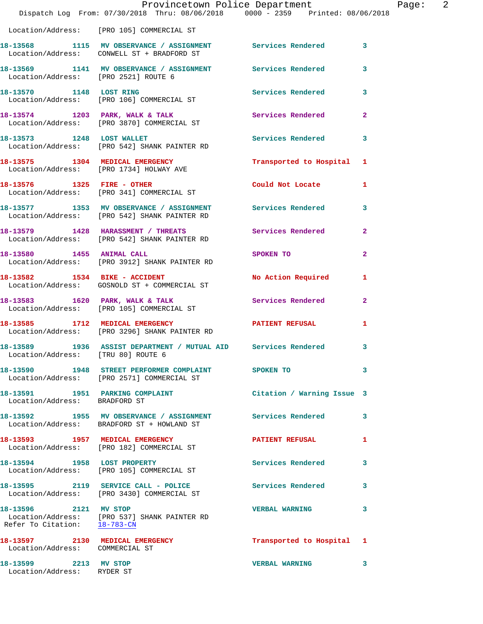|                                                       | Dispatch Log From: 07/30/2018 Thru: 08/06/2018 0000 - 2359 Printed: 08/06/2018                                     | Provincetown Police Department | 2<br>Page:     |
|-------------------------------------------------------|--------------------------------------------------------------------------------------------------------------------|--------------------------------|----------------|
|                                                       | Location/Address: [PRO 105] COMMERCIAL ST                                                                          |                                |                |
|                                                       | 18-13568 1115 MV OBSERVANCE / ASSIGNMENT Services Rendered 3<br>Location/Address: CONWELL ST + BRADFORD ST         |                                |                |
| Location/Address: [PRO 2521] ROUTE 6                  | 18-13569 1141 MV OBSERVANCE / ASSIGNMENT Services Rendered                                                         |                                | 3              |
|                                                       | 18-13570 1148 LOST RING<br>Location/Address: [PRO 106] COMMERCIAL ST                                               | Services Rendered 3            |                |
|                                                       | 18-13574 1203 PARK, WALK & TALK 1998 Services Rendered<br>Location/Address: [PRO 3870] COMMERCIAL ST               |                                | $\overline{2}$ |
|                                                       | 18-13573 1248 LOST WALLET<br>Location/Address: [PRO 542] SHANK PAINTER RD                                          | Services Rendered 3            |                |
|                                                       | 18-13575 1304 MEDICAL EMERGENCY<br>Location/Address: [PRO 1734] HOLWAY AVE                                         | Transported to Hospital 1      |                |
|                                                       | 18-13576 1325 FIRE - OTHER<br>Location/Address: [PRO 341] COMMERCIAL ST                                            | Could Not Locate 1             |                |
|                                                       | 18-13577   1353   MV   OBSERVANCE / ASSIGNMENT   Services Rendered<br>Location/Address: [PRO 542] SHANK PAINTER RD |                                | 3              |
|                                                       | 18-13579 1428 HARASSMENT / THREATS<br>Location/Address: [PRO 542] SHANK PAINTER RD                                 | Services Rendered              | $\mathbf{2}$   |
|                                                       | 18-13580 1455 ANIMAL CALL<br>Location/Address: [PRO 3912] SHANK PAINTER RD                                         | SPOKEN TO                      | $\mathbf{2}$   |
|                                                       | 18-13582 1534 BIKE - ACCIDENT<br>Location/Address: GOSNOLD ST + COMMERCIAL ST                                      | No Action Required             | 1              |
|                                                       | 18-13583 1620 PARK, WALK & TALK<br>Location/Address: [PRO 105] COMMERCIAL ST                                       | Services Rendered              | $\mathbf{2}$   |
|                                                       | 18-13585 1712 MEDICAL EMERGENCY<br>Location/Address: [PRO 3296] SHANK PAINTER RD                                   | PATIENT REFUSAL                | 1              |
| Location/Address: [TRU 80] ROUTE 6                    | 18-13589 1936 ASSIST DEPARTMENT / MUTUAL AID Services Rendered 3                                                   |                                |                |
|                                                       | 18-13590 1948 STREET PERFORMER COMPLAINT SPOKEN TO<br>Location/Address: [PRO 2571] COMMERCIAL ST                   |                                | 3              |
| Location/Address: BRADFORD ST                         | 18-13591 1951 PARKING COMPLAINT                                                                                    | Citation / Warning Issue 3     |                |
|                                                       | 18-13592 1955 MV OBSERVANCE / ASSIGNMENT Services Rendered<br>Location/Address: BRADFORD ST + HOWLAND ST           |                                | 3              |
|                                                       | 18-13593 1957 MEDICAL EMERGENCY<br>Location/Address: [PRO 182] COMMERCIAL ST                                       | <b>PATIENT REFUSAL</b>         | 1              |
|                                                       | 18-13594 1958 LOST PROPERTY<br>Location/Address: [PRO 105] COMMERCIAL ST                                           | Services Rendered              | 3              |
|                                                       | 18-13595  2119  SERVICE CALL - POLICE      Services Rendered<br>Location/Address:    [PRO 3430] COMMERCIAL ST      |                                | 3              |
| 18-13596 2121 MV STOP<br>Refer To Citation: 18-783-CN | Location/Address: [PRO 537] SHANK PAINTER RD                                                                       | <b>VERBAL WARNING</b>          | 3              |
| Location/Address: COMMERCIAL ST                       | 18-13597 2130 MEDICAL EMERGENCY                                                                                    | Transported to Hospital 1      |                |
| 18-13599 2213 MV STOP<br>Location/Address: RYDER ST   |                                                                                                                    | <b>VERBAL WARNING</b>          | 3              |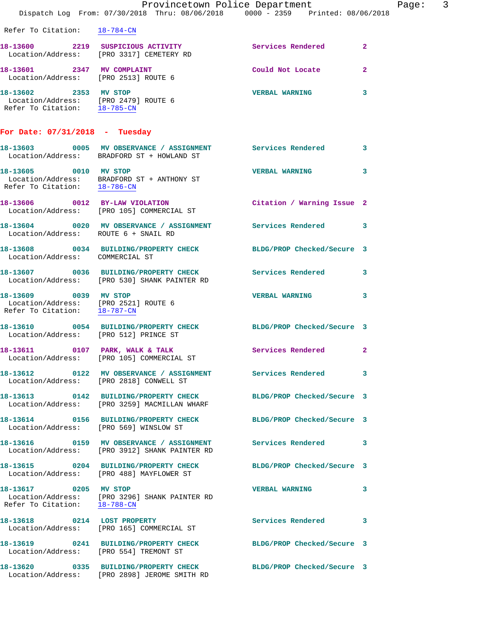|                                                                                               | Dispatch Log From: 07/30/2018 Thru: 08/06/2018 0000 - 2359 Printed: 08/06/2018                                          | Provincetown Police Department | Page: 3      |
|-----------------------------------------------------------------------------------------------|-------------------------------------------------------------------------------------------------------------------------|--------------------------------|--------------|
| Refer To Citation: 18-784-CN                                                                  |                                                                                                                         |                                |              |
|                                                                                               | 18-13600 2219 SUSPICIOUS ACTIVITY<br>Location/Address: [PRO 3317] CEMETERY RD                                           | Services Rendered 2            |              |
| 18-13601 2347 MV COMPLAINT<br>Location/Address: [PRO 2513] ROUTE 6                            |                                                                                                                         | Could Not Locate               | $\mathbf{2}$ |
| 18-13602 2353 MV STOP<br>Location/Address: [PRO 2479] ROUTE 6<br>Refer To Citation: 18-785-CN |                                                                                                                         | <b>VERBAL WARNING</b>          | 3            |
| For Date: $07/31/2018$ - Tuesday                                                              |                                                                                                                         |                                |              |
|                                                                                               | 18-13603 0005 MV OBSERVANCE / ASSIGNMENT Services Rendered 3<br>Location/Address: BRADFORD ST + HOWLAND ST              |                                |              |
|                                                                                               | 18-13605 0010 MV STOP<br>Location/Address: BRADFORD ST + ANTHONY ST<br>Refer To Citation: $\frac{18-786-CN}{18-786-CN}$ | <b>VERBAL WARNING</b>          | $\mathbf{3}$ |
|                                                                                               | 18-13606 0012 BY-LAW VIOLATION<br>Location/Address: [PRO 105] COMMERCIAL ST                                             | Citation / Warning Issue 2     |              |
| Location/Address: ROUTE 6 + SNAIL RD                                                          | 18-13604 0020 MV OBSERVANCE / ASSIGNMENT Services Rendered 3                                                            |                                |              |
| Location/Address: COMMERCIAL ST                                                               | 18-13608 0034 BUILDING/PROPERTY CHECK BLDG/PROP Checked/Secure 3                                                        |                                |              |
|                                                                                               | 18-13607 0036 BUILDING/PROPERTY CHECK Services Rendered 3<br>Location/Address: [PRO 530] SHANK PAINTER RD               |                                |              |
| 18-13609 0039 MV STOP<br>Location/Address: [PRO 2521] ROUTE 6<br>Refer To Citation: 18-787-CN |                                                                                                                         | <b>VERBAL WARNING</b>          | 3            |
| Location/Address: [PRO 512] PRINCE ST                                                         | 18-13610 0054 BUILDING/PROPERTY CHECK                                                                                   | BLDG/PROP Checked/Secure 3     |              |
| 18-13611 0107                                                                                 | PARK, WALK & TALK<br>Location/Address: [PRO 105] COMMERCIAL ST                                                          | Services Rendered              | $\mathbf{2}$ |
|                                                                                               | 18-13612 		 0122 MV OBSERVANCE / ASSIGNMENT Services Rendered 3<br>Location/Address: [PRO 2818] CONWELL ST              |                                |              |
|                                                                                               | 18-13613 0142 BUILDING/PROPERTY CHECK BLDG/PROP Checked/Secure 3<br>Location/Address: [PRO 3259] MACMILLAN WHARF        |                                |              |
|                                                                                               | 18-13614 0156 BUILDING/PROPERTY CHECK BLDG/PROP Checked/Secure 3<br>Location/Address: [PRO 569] WINSLOW ST              |                                |              |
|                                                                                               | 18-13616 0159 MV OBSERVANCE / ASSIGNMENT Services Rendered 3<br>Location/Address: [PRO 3912] SHANK PAINTER RD           |                                |              |
|                                                                                               | 18-13615 0204 BUILDING/PROPERTY CHECK BLDG/PROP Checked/Secure 3<br>Location/Address: [PRO 488] MAYFLOWER ST            |                                |              |
| 18-13617 0205 MV STOP                                                                         | Location/Address: [PRO 3296] SHANK PAINTER RD<br>Refer To Citation: $\frac{18-788-CN}{\sqrt{36}}$                       | <b>VERBAL WARNING</b>          | 3            |
|                                                                                               | 18-13618 0214 LOST PROPERTY<br>Location/Address: [PRO 165] COMMERCIAL ST                                                | Services Rendered              | 3            |
|                                                                                               | 18-13619 0241 BUILDING/PROPERTY CHECK BLDG/PROP Checked/Secure 3<br>Location/Address: [PRO 554] TREMONT ST              |                                |              |
|                                                                                               | 18-13620 0335 BUILDING/PROPERTY CHECK<br>Location/Address: [PRO 2898] JEROME SMITH RD                                   | BLDG/PROP Checked/Secure 3     |              |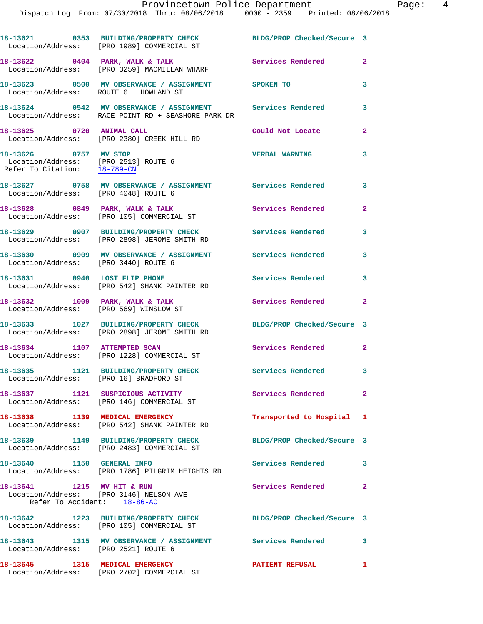| 18-13645                                                  | 1315 MEDICAL EMERGENCY                                                                                           | <b>PATIENT REFUSAL</b>     | 1                       |
|-----------------------------------------------------------|------------------------------------------------------------------------------------------------------------------|----------------------------|-------------------------|
| Location/Address: [PRO 2521] ROUTE 6                      | 18-13643 1315 MV OBSERVANCE / ASSIGNMENT Services Rendered                                                       |                            | 3                       |
|                                                           | 18-13642 1223 BUILDING/PROPERTY CHECK<br>Location/Address: [PRO 105] COMMERCIAL ST                               | BLDG/PROP Checked/Secure 3 |                         |
| 18-13641 1215 MV HIT & RUN<br>Refer To Accident: 18-86-AC | Location/Address: [PRO 3146] NELSON AVE                                                                          | Services Rendered          | $\mathbf{2}$            |
| 18-13640 1150 GENERAL INFO                                | Location/Address: [PRO 1786] PILGRIM HEIGHTS RD                                                                  | <b>Services Rendered</b>   | 3                       |
|                                                           | 18-13639 1149 BUILDING/PROPERTY CHECK<br>Location/Address: [PRO 2483] COMMERCIAL ST                              | BLDG/PROP Checked/Secure 3 |                         |
|                                                           | 18-13638 1139 MEDICAL EMERGENCY<br>Location/Address: [PRO 542] SHANK PAINTER RD                                  | Transported to Hospital 1  |                         |
|                                                           | 18-13637 1121 SUSPICIOUS ACTIVITY<br>Location/Address: [PRO 146] COMMERCIAL ST                                   | Services Rendered          | $\mathbf{2}$            |
| Location/Address: [PRO 16] BRADFORD ST                    | 18-13635 1121 BUILDING/PROPERTY CHECK                                                                            | Services Rendered 3        |                         |
| 18-13634 1107 ATTEMPTED SCAM                              | Location/Address: [PRO 1228] COMMERCIAL ST                                                                       | <b>Services Rendered</b>   | $\overline{2}$          |
|                                                           | 18-13633 1027 BUILDING/PROPERTY CHECK<br>Location/Address: [PRO 2898] JEROME SMITH RD                            | BLDG/PROP Checked/Secure 3 |                         |
| 18-13632 1009 PARK, WALK & TALK                           | Location/Address: [PRO 569] WINSLOW ST                                                                           | Services Rendered          | $\mathbf{2}$            |
|                                                           | 18-13631 0940 LOST FLIP PHONE<br>Location/Address: [PRO 542] SHANK PAINTER RD                                    | Services Rendered          | 3                       |
| Location/Address: [PRO 3440] ROUTE 6                      | 18-13630 0909 MV OBSERVANCE / ASSIGNMENT Services Rendered                                                       |                            | 3                       |
|                                                           | 18-13629 0907 BUILDING/PROPERTY CHECK Services Rendered<br>Location/Address: [PRO 2898] JEROME SMITH RD          |                            | 3                       |
|                                                           | 18-13628 0849 PARK, WALK & TALK<br>Location/Address: [PRO 105] COMMERCIAL ST                                     | Services Rendered          | $\mathbf{2}$            |
| Location/Address: [PRO 4048] ROUTE 6                      | 18-13627 0758 MV OBSERVANCE / ASSIGNMENT Services Rendered                                                       |                            | $\overline{\mathbf{3}}$ |
| 18-13626 0757 MV STOP<br>Refer To Citation: 18-789-CN     | Location/Address: [PRO 2513] ROUTE 6                                                                             | <b>VERBAL WARNING</b>      | 3                       |
| 18-13625 0720 ANIMAL CALL                                 | Location/Address: [PRO 2380] CREEK HILL RD                                                                       | Could Not Locate           | $\overline{2}$          |
|                                                           | 18-13624 0542 MV OBSERVANCE / ASSIGNMENT Services Rendered<br>Location/Address: RACE POINT RD + SEASHORE PARK DR |                            | 3                       |
| Location/Address: ROUTE 6 + HOWLAND ST                    | 18-13623 0500 MV OBSERVANCE / ASSIGNMENT SPOKEN TO                                                               |                            | $\mathbf{3}$            |
|                                                           | 18-13622 0404 PARK, WALK & TALK<br>Location/Address: [PRO 3259] MACMILLAN WHARF                                  | <b>Services Rendered</b>   | $\mathbf{2}$            |
|                                                           | 18-13621 0353 BUILDING/PROPERTY CHECK<br>Location/Address: [PRO 1989] COMMERCIAL ST                              | BLDG/PROP Checked/Secure 3 |                         |

Location/Address: [PRO 2702] COMMERCIAL ST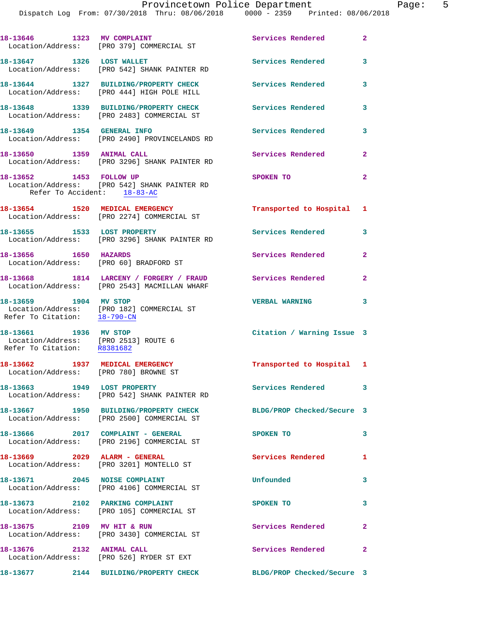18-13646 1323 MV COMPLAINT **18-13646** 2 Location/Address: [PRO 379] COMMERCIAL ST 18-13647 1326 LOST WALLET **18-13647** Services Rendered 3 Location/Address: [PRO 542] SHANK PAINTER RD **18-13644 1327 BUILDING/PROPERTY CHECK Services Rendered 3**  Location/Address: [PRO 444] HIGH POLE HILL **18-13648 1339 BUILDING/PROPERTY CHECK Services Rendered 3**  Location/Address: [PRO 2483] COMMERCIAL ST **18-13649 1354 GENERAL INFO Services Rendered 3**  Location/Address: [PRO 2490] PROVINCELANDS RD 18-13650 1359 ANIMAL CALL Services Rendered 2 Location/Address: [PRO 3296] SHANK PAINTER RD **18-13652 1453 FOLLOW UP SPOKEN TO 2**  Location/Address: [PRO 542] SHANK PAINTER RD Refer To Accident: 18-83-AC **18-13654 1520 MEDICAL EMERGENCY Transported to Hospital 1**  Location/Address: [PRO 2274] COMMERCIAL ST **18-13655 1533 LOST PROPERTY Services Rendered 3**  Location/Address: [PRO 3296] SHANK PAINTER RD **18-13656 1650 HAZARDS Services Rendered 2**  Location/Address: [PRO 60] BRADFORD ST **18-13668 1814 LARCENY / FORGERY / FRAUD Services Rendered 2**  Location/Address: [PRO 2543] MACMILLAN WHARF **18-13659 1904 MV STOP VERBAL WARNING 3**  Location/Address: [PRO 182] COMMERCIAL ST Refer To Citation: 18-790-CN **18-13661 1936 MV STOP Citation / Warning Issue 3**  Location/Address: [PRO 2513] ROUTE 6 Refer To Citation: R8381682 **18-13662 1937 MEDICAL EMERGENCY Transported to Hospital 1**  Location/Address: [PRO 780] BROWNE ST 18-13663 1949 LOST PROPERTY **18-13663** Services Rendered 3 Location/Address: [PRO 542] SHANK PAINTER RD **18-13667 1950 BUILDING/PROPERTY CHECK BLDG/PROP Checked/Secure 3**  Location/Address: [PRO 2500] COMMERCIAL ST **18-13666 2017 COMPLAINT - GENERAL SPOKEN TO 3**  Location/Address: [PRO 2196] COMMERCIAL ST **18-13669 2029 ALARM - GENERAL Services Rendered 1**  Location/Address: [PRO 3201] MONTELLO ST **18-13671 2045 NOISE COMPLAINT Unfounded 3**  Location/Address: [PRO 4106] COMMERCIAL ST 18-13673 2102 PARKING COMPLAINT SPOKEN TO 3 Location/Address: [PRO 105] COMMERCIAL ST **18-13675 2109 MV HIT & RUN Services Rendered 2**  Location/Address: [PRO 3430] COMMERCIAL ST 18-13676 2132 ANIMAL CALL **Services Rendered** 2 Location/Address: [PRO 526] RYDER ST EXT **18-13677 2144 BUILDING/PROPERTY CHECK BLDG/PROP Checked/Secure 3**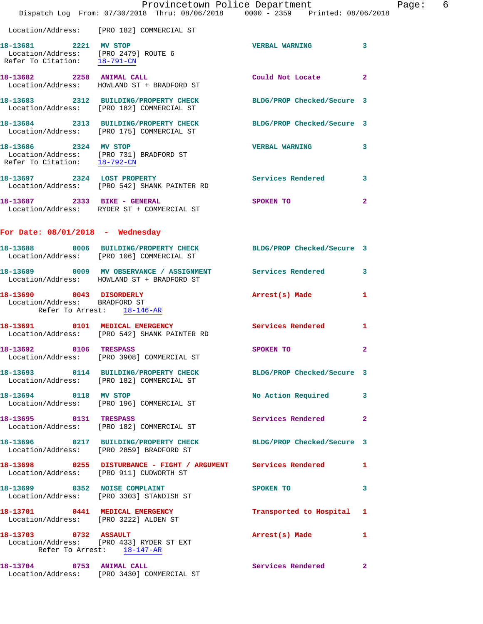|                                                           | Provincetown Police Department<br>Dispatch Log From: 07/30/2018 Thru: 08/06/2018 0000 - 2359 Printed: 08/06/2018 |                            |                |
|-----------------------------------------------------------|------------------------------------------------------------------------------------------------------------------|----------------------------|----------------|
|                                                           | Location/Address: [PRO 182] COMMERCIAL ST                                                                        |                            |                |
| Refer To Citation: 18-791-CN                              | 18-13681 2221 MV STOP<br>Location/Address: [PRO 2479] ROUTE 6                                                    | <b>VERBAL WARNING</b>      | 3              |
|                                                           | 18-13682 2258 ANIMAL CALL<br>Location/Address: HOWLAND ST + BRADFORD ST                                          | Could Not Locate           | $\mathbf{2}$   |
|                                                           | 18-13683 2312 BUILDING/PROPERTY CHECK<br>Location/Address: [PRO 182] COMMERCIAL ST                               | BLDG/PROP Checked/Secure 3 |                |
|                                                           | 18-13684 2313 BUILDING/PROPERTY CHECK BLDG/PROP Checked/Secure 3<br>Location/Address: [PRO 175] COMMERCIAL ST    |                            |                |
| 18-13686 2324 MV STOP                                     | Location/Address: [PRO 731] BRADFORD ST<br>Refer To Citation: $\frac{18-792-CN}{\pi}$                            | <b>VERBAL WARNING</b>      | 3              |
|                                                           | 18-13697 2324 LOST PROPERTY<br>Location/Address: [PRO 542] SHANK PAINTER RD                                      | Services Rendered          | 3              |
| 18-13687 2333 BIKE - GENERAL                              | Location/Address: RYDER ST + COMMERCIAL ST                                                                       | SPOKEN TO                  | $\overline{2}$ |
| For Date: $08/01/2018$ - Wednesday                        |                                                                                                                  |                            |                |
|                                                           | 18-13688 0006 BUILDING/PROPERTY CHECK BLDG/PROP Checked/Secure 3<br>Location/Address: [PRO 106] COMMERCIAL ST    |                            |                |
|                                                           | 18-13689 0009 MV OBSERVANCE / ASSIGNMENT Services Rendered<br>Location/Address: HOWLAND ST + BRADFORD ST         |                            | 3              |
| 18-13690 0043 DISORDERLY<br>Location/Address: BRADFORD ST | Refer To Arrest: 18-146-AR                                                                                       | Arrest(s) Made             | 1              |
|                                                           | 18-13691 0101 MEDICAL EMERGENCY<br>Location/Address: [PRO 542] SHANK PAINTER RD                                  | Services Rendered 1        |                |
| 18-13692 0106 TRESPASS                                    | Location/Address: [PRO 3908] COMMERCIAL ST                                                                       | SPOKEN TO                  | $\mathbf{2}$   |
|                                                           | 18-13693 0114 BUILDING/PROPERTY CHECK<br>Location/Address: [PRO 182] COMMERCIAL ST                               | BLDG/PROP Checked/Secure 3 |                |
| 18-13694 0118 MV STOP                                     | Location/Address: [PRO 196] COMMERCIAL ST                                                                        | No Action Required         | 3              |
| 18-13695 0131 TRESPASS                                    | Location/Address: [PRO 182] COMMERCIAL ST                                                                        | Services Rendered          | $\mathbf{2}$   |
|                                                           | 18-13696 0217 BUILDING/PROPERTY CHECK<br>Location/Address: [PRO 2859] BRADFORD ST                                | BLDG/PROP Checked/Secure 3 |                |
|                                                           | 18-13698 0255 DISTURBANCE - FIGHT / ARGUMENT Services Rendered<br>Location/Address: [PRO 911] CUDWORTH ST        |                            | 1              |
|                                                           | 18-13699 0352 NOISE COMPLAINT<br>Location/Address: [PRO 3303] STANDISH ST                                        | SPOKEN TO                  | 3              |
|                                                           | 18-13701 0441 MEDICAL EMERGENCY<br>Location/Address: [PRO 3222] ALDEN ST                                         | Transported to Hospital 1  |                |
|                                                           | 18-13703 0732 ASSAULT<br>Location/Address: [PRO 433] RYDER ST EXT<br>Refer To Arrest: 18-147-AR                  | Arrest(s) Made             | 1              |
| 18-13704 0753 ANIMAL CALL                                 | Location/Address: [PRO 3430] COMMERCIAL ST                                                                       | Services Rendered          | $\mathbf{2}$   |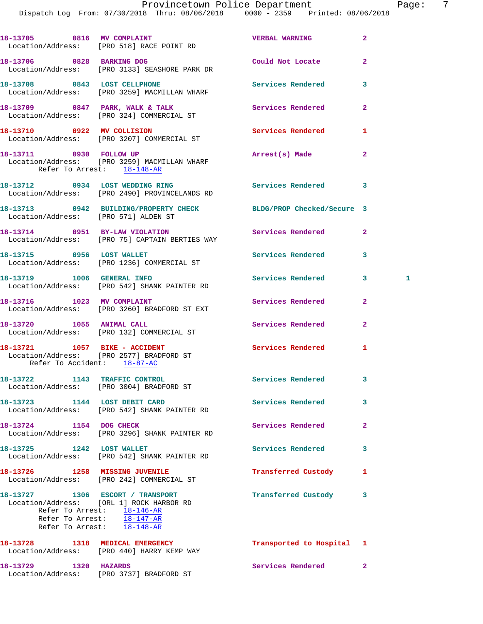|                                                              | 18-13705 0816 MV COMPLAINT<br>Location/Address: [PRO 518] RACE POINT RD                                                                                                             | <b>VERBAL WARNING</b>     | $\overline{a}$ |   |
|--------------------------------------------------------------|-------------------------------------------------------------------------------------------------------------------------------------------------------------------------------------|---------------------------|----------------|---|
|                                                              | 18-13706 0828 BARKING DOG<br>Location/Address: [PRO 3133] SEASHORE PARK DR                                                                                                          | Could Not Locate          | $\mathbf{2}$   |   |
|                                                              | 18-13708 0843 LOST CELLPHONE<br>Location/Address: [PRO 3259] MACMILLAN WHARF                                                                                                        | Services Rendered         | 3              |   |
|                                                              | 18-13709 0847 PARK, WALK & TALK<br>Location/Address: [PRO 324] COMMERCIAL ST                                                                                                        | Services Rendered         | $\overline{a}$ |   |
| 18-13710 0922 MV COLLISION                                   | Location/Address: [PRO 3207] COMMERCIAL ST                                                                                                                                          | <b>Services Rendered</b>  | 1              |   |
| 18-13711 0930 FOLLOW UP<br>Refer To Arrest: 18-148-AR        | Location/Address: [PRO 3259] MACMILLAN WHARF                                                                                                                                        | Arrest(s) Made            | $\mathbf{2}$   |   |
|                                                              | 18-13712 0934 LOST WEDDING RING<br>Location/Address: [PRO 2490] PROVINCELANDS RD                                                                                                    | <b>Services Rendered</b>  | 3              |   |
| Location/Address: [PRO 571] ALDEN ST                         | 18-13713 0942 BUILDING/PROPERTY CHECK BLDG/PROP Checked/Secure 3                                                                                                                    |                           |                |   |
| 18-13714 0951 BY-LAW VIOLATION                               | Location/Address: [PRO 75] CAPTAIN BERTIES WAY                                                                                                                                      | Services Rendered         | $\mathbf{2}$   |   |
|                                                              | 18-13715 0956 LOST WALLET<br>Location/Address: [PRO 1236] COMMERCIAL ST                                                                                                             | Services Rendered         | 3              |   |
|                                                              | 18-13719    1006    GENERAL INFO<br>Location/Address: [PRO 542] SHANK PAINTER RD                                                                                                    | <b>Services Rendered</b>  | 3              | 1 |
|                                                              | 18-13716 1023 MV COMPLAINT<br>Location/Address: [PRO 3260] BRADFORD ST EXT                                                                                                          | Services Rendered         | $\mathbf{2}$   |   |
|                                                              | 18-13720 1055 ANIMAL CALL<br>Location/Address: [PRO 132] COMMERCIAL ST                                                                                                              | Services Rendered         | $\mathbf{2}$   |   |
| 18-13721 1057 BIKE - ACCIDENT<br>Refer To Accident: 18-87-AC | Location/Address: [PRO 2577] BRADFORD ST                                                                                                                                            | <b>Services Rendered</b>  | 1              |   |
| 18-13722 1143 TRAFFIC CONTROL                                | Location/Address: [PRO 3004] BRADFORD ST                                                                                                                                            | Services Rendered         | 3              |   |
| 18-13723 1144 LOST DEBIT CARD                                | Location/Address: [PRO 542] SHANK PAINTER RD                                                                                                                                        | <b>Services Rendered</b>  | 3              |   |
| 18-13724 1154 DOG CHECK                                      | Location/Address: [PRO 3296] SHANK PAINTER RD                                                                                                                                       | Services Rendered         | $\mathbf{2}$   |   |
| 18-13725 1242 LOST WALLET                                    | Location/Address: [PRO 542] SHANK PAINTER RD                                                                                                                                        | <b>Services Rendered</b>  | 3              |   |
| 18-13726 1258 MISSING JUVENILE                               | Location/Address: [PRO 242] COMMERCIAL ST                                                                                                                                           | Transferred Custody       | 1              |   |
|                                                              | 18-13727 1306 ESCORT / TRANSPORT<br>Location/Address: [ORL 1] ROCK HARBOR RD<br>Refer To Arrest: 18-146-AR<br>Refer To Arrest: $\overline{18-147-AR}$<br>Refer To Arrest: 18-148-AR | Transferred Custody       | 3              |   |
|                                                              | 18-13728 1318 MEDICAL EMERGENCY<br>Location/Address: [PRO 440] HARRY KEMP WAY                                                                                                       | Transported to Hospital 1 |                |   |
| 18-13729 1320 HAZARDS                                        | Location/Address: [PRO 3737] BRADFORD ST                                                                                                                                            | <b>Services Rendered</b>  | $\mathbf{2}$   |   |
|                                                              |                                                                                                                                                                                     |                           |                |   |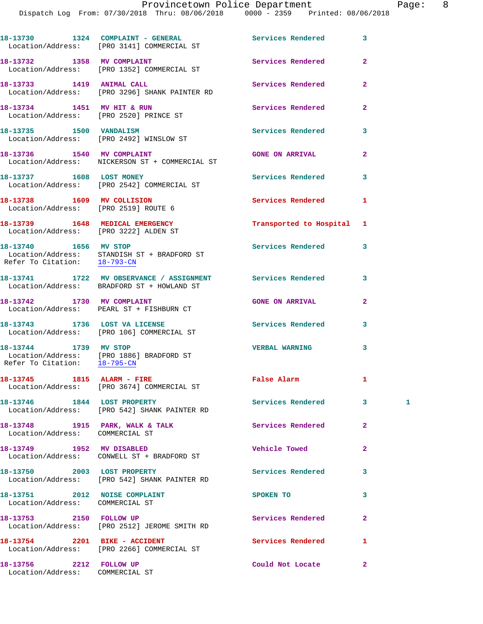|                                                                          | 18-13730 1324 COMPLAINT - GENERAL<br>Location/Address: [PRO 3141] COMMERCIAL ST                          | <b>Services Rendered</b>  | 3              |   |
|--------------------------------------------------------------------------|----------------------------------------------------------------------------------------------------------|---------------------------|----------------|---|
|                                                                          | 18-13732 1358 MV COMPLAINT<br>Location/Address: [PRO 1352] COMMERCIAL ST                                 | Services Rendered         | $\overline{a}$ |   |
| 18-13733 1419 ANIMAL CALL                                                | Location/Address: [PRO 3296] SHANK PAINTER RD                                                            | Services Rendered         | $\overline{a}$ |   |
| 18-13734 1451 MV HIT & RUN                                               | Location/Address: [PRO 2520] PRINCE ST                                                                   | Services Rendered         | $\mathbf{2}$   |   |
| 18-13735 1500 VANDALISM                                                  | Location/Address: [PRO 2492] WINSLOW ST                                                                  | Services Rendered         | 3              |   |
|                                                                          | 18-13736 1540 MV COMPLAINT<br>Location/Address: NICKERSON ST + COMMERCIAL ST                             | <b>GONE ON ARRIVAL</b>    | $\mathbf{2}$   |   |
| 18-13737 1608 LOST MONEY                                                 | Location/Address: [PRO 2542] COMMERCIAL ST                                                               | Services Rendered         | 3              |   |
| 18-13738 1609 MV COLLISION<br>Location/Address: [PRO 2519] ROUTE 6       |                                                                                                          | Services Rendered         | 1              |   |
| 18-13739 1648 MEDICAL EMERGENCY<br>Location/Address: [PRO 3222] ALDEN ST |                                                                                                          | Transported to Hospital 1 |                |   |
| 18-13740 1656 MV STOP<br>Refer To Citation: 18-793-CN                    | Location/Address: STANDISH ST + BRADFORD ST                                                              | <b>Services Rendered</b>  | 3              |   |
|                                                                          | 18-13741 1722 MV OBSERVANCE / ASSIGNMENT Services Rendered<br>Location/Address: BRADFORD ST + HOWLAND ST |                           | 3              |   |
| 18-13742 1730 MV COMPLAINT                                               | Location/Address: PEARL ST + FISHBURN CT                                                                 | <b>GONE ON ARRIVAL</b>    | $\overline{a}$ |   |
|                                                                          | 18-13743 1736 LOST VA LICENSE<br>Location/Address: [PRO 106] COMMERCIAL ST                               | <b>Services Rendered</b>  | 3              |   |
| 18-13744 1739 MV STOP                                                    | Location/Address: [PRO 1886] BRADFORD ST<br>Refer To Citation: 18-795-CN                                 | <b>VERBAL WARNING</b>     | 3              |   |
| 18-13745 1815 ALARM - FIRE                                               | Location/Address: [PRO 3674] COMMERCIAL ST                                                               | <b>False Alarm</b>        | 1              |   |
| 18-13746 1844 LOST PROPERTY                                              | Location/Address: [PRO 542] SHANK PAINTER RD                                                             | Services Rendered         | $3^{\circ}$    | 1 |
| Location/Address: COMMERCIAL ST                                          | 18-13748 1915 PARK, WALK & TALK                                                                          | Services Rendered         | $\mathbf{2}$   |   |
|                                                                          | 18-13749 1952 MV DISABLED<br>Location/Address: CONWELL ST + BRADFORD ST                                  | Vehicle Towed             | $\overline{a}$ |   |
|                                                                          | 18-13750 2003 LOST PROPERTY<br>Location/Address: [PRO 542] SHANK PAINTER RD                              | Services Rendered         | 3              |   |
| 18-13751 2012 NOISE COMPLAINT<br>Location/Address: COMMERCIAL ST         |                                                                                                          | SPOKEN TO                 | 3              |   |
|                                                                          | 18-13753 2150 FOLLOW UP<br>Location/Address: [PRO 2512] JEROME SMITH RD                                  | Services Rendered         | $\mathbf{2}$   |   |
| 18-13754 2201 BIKE - ACCIDENT                                            | Location/Address: [PRO 2266] COMMERCIAL ST                                                               | Services Rendered         | 1              |   |
| 18-13756 2212 FOLLOW UP<br>Location/Address: COMMERCIAL ST               |                                                                                                          | Could Not Locate          | $\mathbf{2}$   |   |
|                                                                          |                                                                                                          |                           |                |   |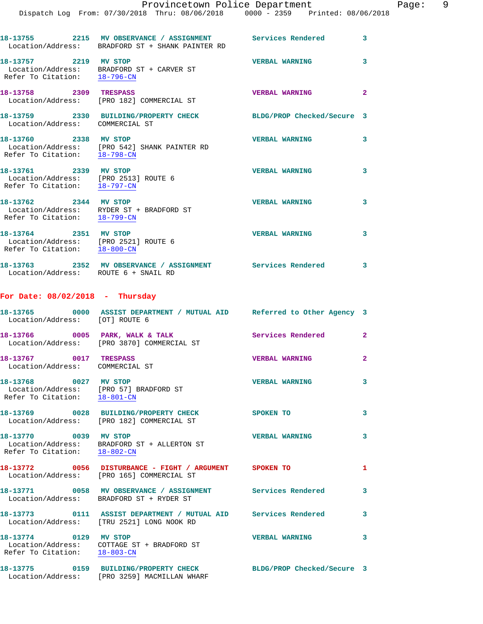|                                                                                               | Provincetown Police Department                                                                                 |                            |                         |
|-----------------------------------------------------------------------------------------------|----------------------------------------------------------------------------------------------------------------|----------------------------|-------------------------|
|                                                                                               | Dispatch Log From: 07/30/2018 Thru: 08/06/2018 0000 - 2359 Printed: 08/06/2018                                 |                            |                         |
|                                                                                               | 18-13755 2215 MV OBSERVANCE / ASSIGNMENT Services Rendered<br>Location/Address: BRADFORD ST + SHANK PAINTER RD |                            | 3                       |
| 18-13757 2219 MV STOP<br>Refer To Citation: 18-796-CN                                         | Location/Address: BRADFORD ST + CARVER ST                                                                      | <b>VERBAL WARNING</b>      | 3                       |
| 18-13758 2309 TRESPASS                                                                        | Location/Address: [PRO 182] COMMERCIAL ST                                                                      | <b>VERBAL WARNING</b>      | $\mathbf{2}$            |
|                                                                                               | 18-13759 2330 BUILDING/PROPERTY CHECK<br>Location/Address: COMMERCIAL ST                                       | BLDG/PROP Checked/Secure 3 |                         |
| 18-13760 2338 MV STOP<br>Refer To Citation: 18-798-CN                                         | Location/Address: [PRO 542] SHANK PAINTER RD                                                                   | <b>VERBAL WARNING</b>      | 3                       |
| 18-13761 2339 MV STOP<br>Location/Address: [PRO 2513] ROUTE 6<br>Refer To Citation: 18-797-CN |                                                                                                                | <b>VERBAL WARNING</b>      | 3                       |
| 18-13762 2344 MV STOP                                                                         | Location/Address: RYDER ST + BRADFORD ST<br>Refer To Citation: $18-799-CN$                                     | <b>VERBAL WARNING</b>      | 3                       |
| 18-13764 2351 MV STOP<br>Location/Address: [PRO 2521] ROUTE 6<br>Refer To Citation: 18-800-CN |                                                                                                                | <b>VERBAL WARNING</b>      | 3                       |
| Location/Address: ROUTE 6 + SNAIL RD                                                          | 18-13763 2352 MV OBSERVANCE / ASSIGNMENT Services Rendered                                                     |                            | 3                       |
| For Date: $08/02/2018$ - Thursday                                                             |                                                                                                                |                            |                         |
| Location/Address: [OT] ROUTE 6                                                                | 18-13765 0000 ASSIST DEPARTMENT / MUTUAL AID Referred to Other Agency 3                                        |                            |                         |
|                                                                                               | 18-13766 0005 PARK, WALK & TALK<br>Location/Address: [PRO 3870] COMMERCIAL ST                                  | <b>Services Rendered</b>   | $\mathbf{2}$            |
| 18-13767 0017 TRESPASS<br>Location/Address: COMMERCIAL ST                                     |                                                                                                                | <b>VERBAL WARNING</b>      | $\overline{\mathbf{2}}$ |
| 18-13768 0027 MV STOP                                                                         | Location/Address: [PRO 57] BRADFORD ST<br>Refer To Citation: 18-801-CN                                         | <b>VERBAL WARNING</b>      | 3                       |
|                                                                                               | 18-13769 0028 BUILDING/PROPERTY CHECK<br>Location/Address: [PRO 182] COMMERCIAL ST                             | SPOKEN TO                  | 3                       |
| 18-13770 0039 MV STOP<br>Refer To Citation: 18-802-CN                                         | Location/Address: BRADFORD ST + ALLERTON ST                                                                    | <b>VERBAL WARNING</b>      | 3                       |
|                                                                                               | 18-13772 0056 DISTURBANCE - FIGHT / ARGUMENT SPOKEN TO<br>Location/Address: [PRO 165] COMMERCIAL ST            |                            | 1                       |
|                                                                                               | 18-13771 0058 MV OBSERVANCE / ASSIGNMENT Services Rendered<br>Location/Address: BRADFORD ST + RYDER ST         |                            | 3                       |
|                                                                                               | 18-13773 0111 ASSIST DEPARTMENT / MUTUAL AID Services Rendered<br>Location/Address: [TRU 2521] LONG NOOK RD    |                            | 3                       |
| 18-13774 0129 MV STOP<br>Refer To Citation: 18-803-CN                                         | Location/Address: COTTAGE ST + BRADFORD ST                                                                     | <b>VERBAL WARNING</b>      | 3                       |
|                                                                                               | 18-13775 0159 BUILDING/PROPERTY CHECK                                                                          | BLDG/PROP Checked/Secure 3 |                         |

Location/Address: [PRO 3259] MACMILLAN WHARF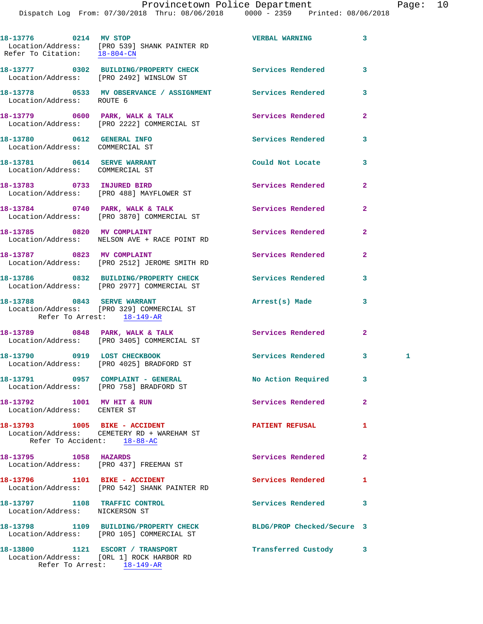|                                                                 | 18-13776 0214 MV STOP<br>Location/Address: [PRO 539] SHANK PAINTER RD<br>Refer To Citation: $\frac{18-804-CN}{18-804-CN}$ | <b>VERBAL WARNING</b>    | 3              |   |
|-----------------------------------------------------------------|---------------------------------------------------------------------------------------------------------------------------|--------------------------|----------------|---|
|                                                                 | 18-13777 0302 BUILDING/PROPERTY CHECK Services Rendered<br>Location/Address: [PRO 2492] WINSLOW ST                        |                          | 3              |   |
|                                                                 | 18-13778   0533   MV   OBSERVANCE / ASSIGNMENT   Services Rendered   Location/Address:   ROUTE   6                        |                          | 3              |   |
|                                                                 | 18-13779 0600 PARK, WALK & TALK<br>Location/Address: [PRO 2222] COMMERCIAL ST                                             | <b>Services Rendered</b> | 2              |   |
| 18-13780 0612 GENERAL INFO<br>Location/Address: COMMERCIAL ST   |                                                                                                                           | Services Rendered        | 3              |   |
| 18-13781 0614 SERVE WARRANT<br>Location/Address: COMMERCIAL ST  |                                                                                                                           | Could Not Locate         | 3              |   |
|                                                                 | 18-13783 0733 INJURED BIRD<br>Location/Address: [PRO 488] MAYFLOWER ST                                                    | <b>Services Rendered</b> | $\overline{a}$ |   |
|                                                                 | 18-13784 0740 PARK, WALK & TALK<br>Location/Address: [PRO 3870] COMMERCIAL ST                                             | Services Rendered        | $\mathbf{2}$   |   |
|                                                                 | 18-13785 0820 MV COMPLAINT<br>Location/Address: NELSON AVE + RACE POINT RD                                                | Services Rendered        | $\overline{a}$ |   |
|                                                                 | 18-13787 0823 MV COMPLAINT<br>Location/Address: [PRO 2512] JEROME SMITH RD                                                | Services Rendered        | $\mathbf{2}$   |   |
|                                                                 | 18-13786 0832 BUILDING/PROPERTY CHECK Services Rendered<br>Location/Address: [PRO 2977] COMMERCIAL ST                     |                          | 3              |   |
| Refer To Arrest: 18-149-AR                                      | 18-13788 0843 SERVE WARRANT<br>Location/Address: [PRO 329] COMMERCIAL ST                                                  | Arrest(s) Made           | 3              |   |
|                                                                 | 18-13789 0848 PARK, WALK & TALK<br>Location/Address: [PRO 3405] COMMERCIAL ST                                             | Services Rendered        | $\mathbf{2}$   |   |
|                                                                 | 18-13790 0919 LOST CHECKBOOK<br>Location/Address: [PRO 4025] BRADFORD ST                                                  | Services Rendered 3      |                | 1 |
|                                                                 | 18-13791 0957 COMPLAINT - GENERAL<br>Location/Address: [PRO 758] BRADFORD ST                                              | No Action Required 3     |                |   |
| 18-13792 1001 MV HIT & RUN<br>Location/Address: CENTER ST       |                                                                                                                           | Services Rendered        | 2              |   |
|                                                                 | 18-13793 1005 BIKE - ACCIDENT                                                                                             | <b>PATIENT REFUSAL</b>   | 1              |   |
|                                                                 | Location/Address: CEMETERY RD + WAREHAM ST<br>Refer To Accident: 18-88-AC                                                 |                          |                |   |
| 18-13795 1058 HAZARDS                                           | Location/Address: [PRO 437] FREEMAN ST                                                                                    | Services Rendered        | $\mathbf{2}$   |   |
|                                                                 | 18-13796 1101 BIKE - ACCIDENT<br>Location/Address: [PRO 542] SHANK PAINTER RD                                             | Services Rendered        | 1.             |   |
| 18-13797 1108 TRAFFIC CONTROL<br>Location/Address: NICKERSON ST |                                                                                                                           | Services Rendered        | 3              |   |
|                                                                 | 18-13798 1109 BUILDING/PROPERTY CHECK BLDG/PROP Checked/Secure 3<br>Location/Address: [PRO 105] COMMERCIAL ST             |                          |                |   |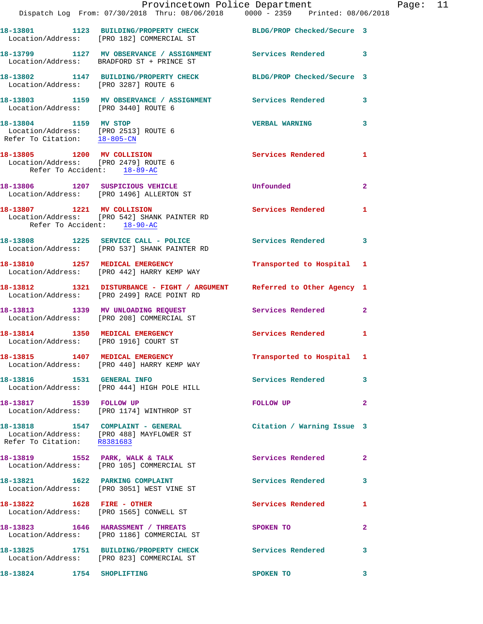|                                                                                                   | Provincetown Police Department<br>Dispatch Log From: 07/30/2018 Thru: 08/06/2018   0000 - 2359   Printed: 08/06/2018  |                            |                |
|---------------------------------------------------------------------------------------------------|-----------------------------------------------------------------------------------------------------------------------|----------------------------|----------------|
|                                                                                                   | 18-13801 1123 BUILDING/PROPERTY CHECK BLDG/PROP Checked/Secure 3<br>Location/Address: [PRO 182] COMMERCIAL ST         |                            |                |
|                                                                                                   | 18-13799 1127 MV OBSERVANCE / ASSIGNMENT Services Rendered<br>Location/Address: BRADFORD ST + PRINCE ST               |                            | 3              |
| Location/Address: [PRO 3287] ROUTE 6                                                              | 18-13802 1147 BUILDING/PROPERTY CHECK BLDG/PROP Checked/Secure 3                                                      |                            |                |
| Location/Address: [PRO 3440] ROUTE 6                                                              | 18-13803 1159 MV OBSERVANCE / ASSIGNMENT Services Rendered                                                            |                            | 3              |
| 18-13804 1159 MV STOP<br>Location/Address: [PRO 2513] ROUTE 6<br>Refer To Citation: 18-805-CN     |                                                                                                                       | <b>VERBAL WARNING</b>      | 3              |
| 18-13805 1200 MV COLLISION<br>Location/Address: [PRO 2479] ROUTE 6<br>Refer To Accident: 18-89-AC |                                                                                                                       | Services Rendered          | 1              |
| 18-13806 1207 SUSPICIOUS VEHICLE                                                                  | Location/Address: [PRO 1496] ALLERTON ST                                                                              | Unfounded                  | $\overline{a}$ |
| Refer To Accident: 18-90-AC                                                                       | 18-13807 1221 MV COLLISION<br>Location/Address: [PRO 542] SHANK PAINTER RD                                            | <b>Services Rendered</b>   | 1              |
|                                                                                                   | 18-13808 1225 SERVICE CALL - POLICE 3 Services Rendered<br>Location/Address: [PRO 537] SHANK PAINTER RD               |                            | 3              |
|                                                                                                   | 18-13810 1257 MEDICAL EMERGENCY<br>Location/Address: [PRO 442] HARRY KEMP WAY                                         | Transported to Hospital    | 1              |
|                                                                                                   | 18-13812 1321 DISTURBANCE - FIGHT / ARGUMENT Referred to Other Agency 1<br>Location/Address: [PRO 2499] RACE POINT RD |                            |                |
|                                                                                                   | 18-13813 1339 MV UNLOADING REQUEST<br>Location/Address: [PRO 208] COMMERCIAL ST                                       | Services Rendered          | $\overline{2}$ |
| 18-13814 1350 MEDICAL EMERGENCY<br>Location/Address: [PRO 1916] COURT ST                          |                                                                                                                       | <b>Services Rendered</b>   | 1              |
|                                                                                                   | 18-13815 1407 MEDICAL EMERGENCY<br>Location/Address: [PRO 440] HARRY KEMP WAY                                         | Transported to Hospital 1  |                |
| 18-13816   1531   GENERAL INFO                                                                    | Location/Address: [PRO 444] HIGH POLE HILL                                                                            | <b>Services Rendered</b>   | 3              |
| 18-13817 1539 FOLLOW UP                                                                           | Location/Address: [PRO 1174] WINTHROP ST                                                                              | FOLLOW UP                  | $\overline{a}$ |
|                                                                                                   | 18-13818 1547 COMPLAINT - GENERAL<br>Location/Address: [PRO 488] MAYFLOWER ST<br>Refer To Citation: R8381683          | Citation / Warning Issue 3 |                |
|                                                                                                   | 18-13819 1552 PARK, WALK & TALK<br>Location/Address: [PRO 105] COMMERCIAL ST                                          | Services Rendered          | $\mathbf{2}$   |
|                                                                                                   | 18-13821 1622 PARKING COMPLAINT<br>Location/Address: [PRO 3051] WEST VINE ST                                          | Services Rendered          | 3              |
|                                                                                                   | 18-13822 1628 FIRE - OTHER<br>Location/Address: [PRO 1565] CONWELL ST                                                 | Services Rendered          | 1              |
|                                                                                                   | 18-13823 1646 HARASSMENT / THREATS<br>Location/Address: [PRO 1186] COMMERCIAL ST                                      | SPOKEN TO                  | $\mathbf{2}$   |
|                                                                                                   | 18-13825 1751 BUILDING/PROPERTY CHECK<br>Location/Address: [PRO 823] COMMERCIAL ST                                    | <b>Services Rendered</b>   | 3              |
| 18-13824 1754 SHOPLIFTING                                                                         |                                                                                                                       | SPOKEN TO                  | 3              |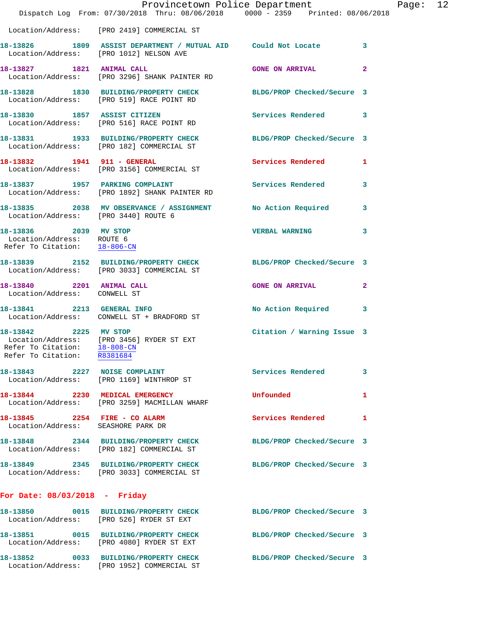|                                                                                                | Dispatch Log From: 07/30/2018 Thru: 08/06/2018 0000 - 2359 Printed: 08/06/2018                                        | Provincetown Police Department |                         | Page: 12 |  |
|------------------------------------------------------------------------------------------------|-----------------------------------------------------------------------------------------------------------------------|--------------------------------|-------------------------|----------|--|
|                                                                                                | Location/Address: [PRO 2419] COMMERCIAL ST                                                                            |                                |                         |          |  |
|                                                                                                | 18-13826 1809 ASSIST DEPARTMENT / MUTUAL AID Could Not Locate 3<br>Location/Address: [PRO 1012] NELSON AVE            |                                |                         |          |  |
|                                                                                                | 18-13827 1821 ANIMAL CALL<br>Location/Address: [PRO 3296] SHANK PAINTER RD                                            | <b>GONE ON ARRIVAL</b>         | $\overline{2}$          |          |  |
|                                                                                                | 18-13828 1830 BUILDING/PROPERTY CHECK BLDG/PROP Checked/Secure 3<br>Location/Address: [PRO 519] RACE POINT RD         |                                |                         |          |  |
|                                                                                                | 18-13830 1857 ASSIST CITIZEN<br>Location/Address: [PRO 516] RACE POINT RD                                             | Services Rendered 3            |                         |          |  |
|                                                                                                | 18-13831 1933 BUILDING/PROPERTY CHECK BLDG/PROP Checked/Secure 3<br>Location/Address: [PRO 182] COMMERCIAL ST         |                                |                         |          |  |
|                                                                                                | 18-13832 1941 911 - GENERAL<br>Location/Address: [PRO 3156] COMMERCIAL ST                                             | Services Rendered 1            |                         |          |  |
|                                                                                                | 18-13837 1957 PARKING COMPLAINT<br>Location/Address: [PRO 1892] SHANK PAINTER RD                                      | Services Rendered              | $\overline{\mathbf{3}}$ |          |  |
|                                                                                                | 18-13835 2038 MV OBSERVANCE / ASSIGNMENT No Action Required 3<br>Location/Address: [PRO 3440] ROUTE 6                 |                                |                         |          |  |
| 18-13836 2039 MV STOP<br>Location/Address: ROUTE 6<br>Refer To Citation: $\frac{18-806-CN}{2}$ |                                                                                                                       | <b>VERBAL WARNING</b>          | 3                       |          |  |
|                                                                                                | 18-13839 2152 BUILDING/PROPERTY CHECK BLDG/PROP Checked/Secure 3<br>Location/Address: [PRO 3033] COMMERCIAL ST        |                                |                         |          |  |
| 18-13840 2201 ANIMAL CALL<br>Location/Address: CONWELL ST                                      |                                                                                                                       | <b>GONE ON ARRIVAL</b>         | $\mathbf{2}$            |          |  |
|                                                                                                | 18-13841 2213 GENERAL INFO<br>Location/Address: CONWELL ST + BRADFORD ST                                              | No Action Required 3           |                         |          |  |
| Refer To Citation: 18-808-CN<br>Refer To Citation: R8381684                                    | 18-13842 2225 MV STOP<br>Location/Address: [PRO 3456] RYDER ST EXT                                                    | Citation / Warning Issue 3     |                         |          |  |
|                                                                                                | 18-13843 2227 NOISE COMPLAINT<br>Location/Address: [PRO 1169] WINTHROP ST                                             | Services Rendered 3            |                         |          |  |
|                                                                                                | 18-13844 2230 MEDICAL EMERGENCY<br>Location/Address: [PRO 3259] MACMILLAN WHARF                                       | Unfounded                      | 1                       |          |  |
| Location/Address: SEASHORE PARK DR                                                             | 18-13845 2254 FIRE - CO ALARM                                                                                         | Services Rendered              | 1                       |          |  |
|                                                                                                | 18-13848 2344 BUILDING/PROPERTY CHECK BLDG/PROP Checked/Secure 3<br>Location/Address: [PRO 182] COMMERCIAL ST         |                                |                         |          |  |
|                                                                                                | 18-13849 2345 BUILDING/PROPERTY CHECK BLDG/PROP Checked/Secure 3<br>Location/Address: [PRO 3033] COMMERCIAL ST        |                                |                         |          |  |
| For Date: $08/03/2018$ - Friday                                                                |                                                                                                                       |                                |                         |          |  |
|                                                                                                | 18-13850 0015 BUILDING/PROPERTY CHECK BLDG/PROP Checked/Secure 3<br>Location/Address: [PRO 526] RYDER ST EXT          |                                |                         |          |  |
|                                                                                                | 18-13851   0015   BUILDING/PROPERTY CHECK   BLDG/PROP Checked/Secure   3<br>Location/Address: [PRO 4080] RYDER ST EXT |                                |                         |          |  |
|                                                                                                | 18-13852 0033 BUILDING/PROPERTY CHECK BLDG/PROP Checked/Secure 3<br>Location/Address: [PRO 1952] COMMERCIAL ST        |                                |                         |          |  |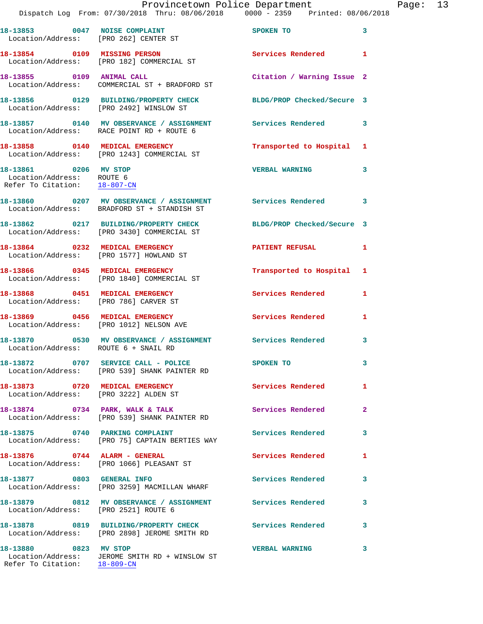|                                                                                    | Dispatch Log From: 07/30/2018 Thru: 08/06/2018 0000 - 2359 Printed: 08/06/2018                                 | Provincetown Police Department | E            |
|------------------------------------------------------------------------------------|----------------------------------------------------------------------------------------------------------------|--------------------------------|--------------|
|                                                                                    | 18-13853 0047 NOISE COMPLAINT<br>Location/Address: [PRO 262] CENTER ST                                         | SPOKEN TO                      | 3            |
|                                                                                    | 18-13854 0109 MISSING PERSON<br>Location/Address: [PRO 182] COMMERCIAL ST                                      | <b>Services Rendered</b>       | 1            |
|                                                                                    | 18-13855 0109 ANIMAL CALL<br>Location/Address: COMMERCIAL ST + BRADFORD ST                                     | Citation / Warning Issue 2     |              |
|                                                                                    | 18-13856 0129 BUILDING/PROPERTY CHECK BLDG/PROP Checked/Secure 3<br>Location/Address: [PRO 2492] WINSLOW ST    |                                |              |
|                                                                                    | 18-13857 0140 MV OBSERVANCE / ASSIGNMENT Services Rendered<br>Location/Address: RACE POINT RD + ROUTE 6        |                                | 3            |
|                                                                                    | 18-13858 0140 MEDICAL EMERGENCY<br>Location/Address: [PRO 1243] COMMERCIAL ST                                  | Transported to Hospital        | 1            |
| 18-13861 0206 MV STOP<br>Location/Address: ROUTE 6<br>Refer To Citation: 18-807-CN |                                                                                                                | <b>VERBAL WARNING</b>          | 3            |
|                                                                                    | 18-13860 0207 MV OBSERVANCE / ASSIGNMENT Services Rendered<br>Location/Address: BRADFORD ST + STANDISH ST      |                                | 3            |
|                                                                                    | 18-13862 0217 BUILDING/PROPERTY CHECK BLDG/PROP Checked/Secure 3<br>Location/Address: [PRO 3430] COMMERCIAL ST |                                |              |
|                                                                                    | 18-13864 0232 MEDICAL EMERGENCY<br>Location/Address: [PRO 1577] HOWLAND ST                                     | <b>PATIENT REFUSAL</b>         | 1            |
|                                                                                    | 18-13866 0345 MEDICAL EMERGENCY<br>Location/Address: [PRO 1840] COMMERCIAL ST                                  | Transported to Hospital        | 1            |
| Location/Address: [PRO 786] CARVER ST                                              | 18-13868 0451 MEDICAL EMERGENCY                                                                                | <b>Services Rendered</b>       | 1            |
|                                                                                    | 18-13869 0456 MEDICAL EMERGENCY<br>Location/Address: [PRO 1012] NELSON AVE                                     | <b>Services Rendered</b>       | 1            |
| Location/Address: ROUTE 6 + SNAIL RD                                               | 18-13870 0530 MV OBSERVANCE / ASSIGNMENT Services Rendered                                                     |                                | 3            |
|                                                                                    | 18-13872 0707 SERVICE CALL - POLICE<br>Location/Address: [PRO 539] SHANK PAINTER RD                            | SPOKEN TO                      | 3            |
| 18-13873 0720 MEDICAL EMERGENCY<br>Location/Address: [PRO 3222] ALDEN ST           |                                                                                                                | <b>Services Rendered</b>       | 1            |
|                                                                                    | 18-13874 0734 PARK, WALK & TALK<br>Location/Address: [PRO 539] SHANK PAINTER RD                                | Services Rendered              | $\mathbf{2}$ |
|                                                                                    | 18-13875 0740 PARKING COMPLAINT<br>Location/Address: [PRO 75] CAPTAIN BERTIES WAY                              | <b>Services Rendered</b>       | 3            |
| $18-13876$ 0744 ALARM - GENERAL                                                    | Location/Address: [PRO 1066] PLEASANT ST                                                                       | Services Rendered              | 1            |
|                                                                                    | 18-13877 0803 GENERAL INFO<br>Location/Address: [PRO 3259] MACMILLAN WHARF                                     | <b>Services Rendered</b>       | 3            |
| Location/Address: [PRO 2521] ROUTE 6                                               | 18-13879 0812 MV OBSERVANCE / ASSIGNMENT Services Rendered                                                     |                                | 3            |
|                                                                                    | 18-13878 0819 BUILDING/PROPERTY CHECK<br>Location/Address: [PRO 2898] JEROME SMITH RD                          | <b>Services Rendered</b>       | 3            |
| 18-13880 0823 MV STOP<br>Refer To Citation: 18-809-CN                              | Location/Address: JEROME SMITH RD + WINSLOW ST                                                                 | <b>VERBAL WARNING</b>          | 3            |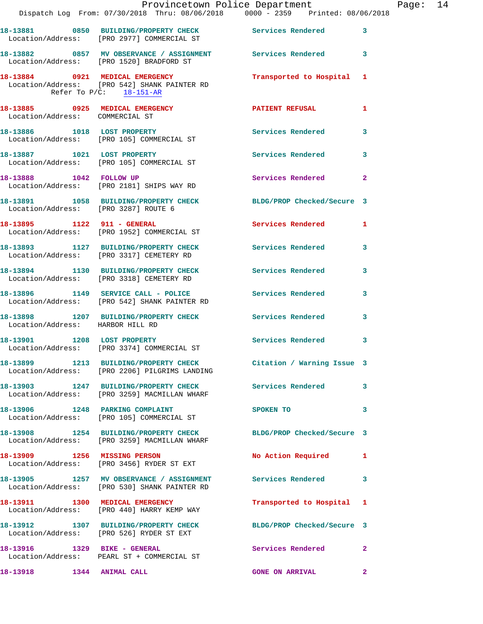|                                                                    | Dispatch Log From: 07/30/2018 Thru: 08/06/2018 0000 - 2359 Printed: 08/06/2018                                                         | Provincetown Police Department | E              |
|--------------------------------------------------------------------|----------------------------------------------------------------------------------------------------------------------------------------|--------------------------------|----------------|
|                                                                    |                                                                                                                                        |                                | 3              |
|                                                                    | 18-13882 0857 MV OBSERVANCE / ASSIGNMENT Services Rendered<br>Location/Address: [PRO 1520] BRADFORD ST                                 |                                | 3              |
|                                                                    | 18-13884 0921 MEDICAL EMERGENCY<br>Location/Address: [PRO 542] SHANK PAINTER RD<br>Refer To $P/C$ : $\frac{18-151-AR}{2}$              | Transported to Hospital        | 1              |
| 18-13885 0925 MEDICAL EMERGENCY<br>Location/Address: COMMERCIAL ST |                                                                                                                                        | <b>PATIENT REFUSAL</b>         | 1              |
|                                                                    | 18-13886 1018 LOST PROPERTY<br>Location/Address: [PRO 105] COMMERCIAL ST                                                               | <b>Services Rendered</b>       | 3              |
|                                                                    | 18-13887 1021 LOST PROPERTY<br>Location/Address: [PRO 105] COMMERCIAL ST                                                               | <b>Services Rendered</b>       | 3              |
| 18-13888 1042 FOLLOW UP                                            | Location/Address: [PRO 2181] SHIPS WAY RD                                                                                              | <b>Services Rendered</b>       | $\overline{a}$ |
|                                                                    | 18-13891 1058 BUILDING/PROPERTY CHECK BLDG/PROP Checked/Secure 3<br>Location/Address: [PRO 3287] ROUTE 6                               |                                |                |
|                                                                    | 18-13895 1122 911 - GENERAL<br>Location/Address: [PRO 1952] COMMERCIAL ST                                                              | <b>Services Rendered</b>       | 1              |
|                                                                    | 18-13893 1127 BUILDING/PROPERTY CHECK<br>Location/Address: [PRO 3317] CEMETERY RD                                                      | <b>Services Rendered</b>       | 3              |
|                                                                    | 18-13894 1130 BUILDING/PROPERTY CHECK<br>Location/Address: [PRO 3318] CEMETERY RD                                                      | <b>Services Rendered</b>       | 3              |
|                                                                    | 18-13896 1149 SERVICE CALL - POLICE<br>Location/Address: [PRO 542] SHANK PAINTER RD                                                    | <b>Services Rendered</b>       | 3              |
| Location/Address: HARBOR HILL RD                                   | 18-13898 1207 BUILDING/PROPERTY CHECK                                                                                                  | <b>Services Rendered</b>       | 3              |
|                                                                    | 18-13901 1208 LOST PROPERTY<br>Location/Address: [PRO 3374] COMMERCIAL ST                                                              | <b>Services Rendered</b>       | 3              |
|                                                                    | 18-13899 1213 BUILDING/PROPERTY CHECK Citation / Warning Issue 3<br>Location/Address: [PRO 2206] PILGRIMS LANDING                      |                                |                |
|                                                                    | 18-13903 1247 BUILDING/PROPERTY CHECK Services Rendered<br>Location/Address: [PRO 3259] MACMILLAN WHARF                                |                                | 3              |
|                                                                    | 18-13906 1248 PARKING COMPLAINT<br>Location/Address: [PRO 105] COMMERCIAL ST                                                           | SPOKEN TO                      | 3              |
|                                                                    | 18-13908 1254 BUILDING/PROPERTY CHECK<br>Location/Address: [PRO 3259] MACMILLAN WHARF                                                  | BLDG/PROP Checked/Secure 3     |                |
| 18-13909 1256 MISSING PERSON                                       | Location/Address: [PRO 3456] RYDER ST EXT                                                                                              | No Action Required             | 1              |
|                                                                    | 18-13905         1257   MV OBSERVANCE / ASSIGNMENT               Services Rendered<br>Location/Address:     [PRO 530] SHANK PAINTER RD |                                | 3              |
| 18-13911 1300 MEDICAL EMERGENCY                                    | Location/Address: [PRO 440] HARRY KEMP WAY                                                                                             | Transported to Hospital        | 1              |
|                                                                    | 18-13912 1307 BUILDING/PROPERTY CHECK<br>Location/Address: [PRO 526] RYDER ST EXT                                                      | BLDG/PROP Checked/Secure 3     |                |
| 18-13916    1329 BIKE - GENERAL                                    | Location/Address: PEARL ST + COMMERCIAL ST                                                                                             | Services Rendered              | 2              |
| 18-13918   1344   ANIMAL CALL                                      |                                                                                                                                        | <b>GONE ON ARRIVAL</b>         | $\overline{2}$ |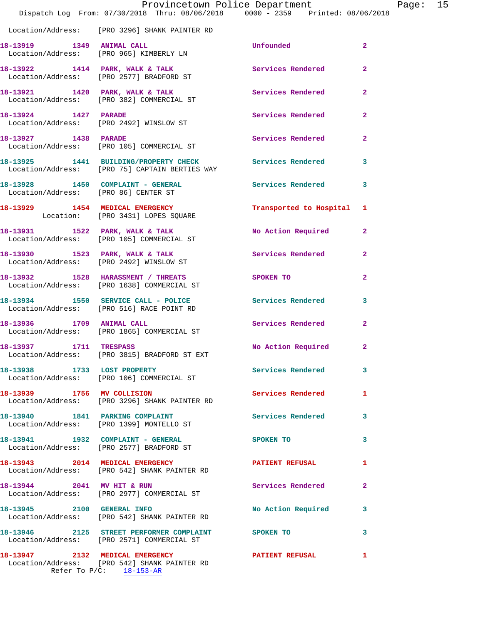|                        | Dispatch Log From: 07/30/2018 Thru: 08/06/2018   0000 - 2359   Printed: 08/06/2018                        | Provincetown Police Department |                | Page: 15 |  |
|------------------------|-----------------------------------------------------------------------------------------------------------|--------------------------------|----------------|----------|--|
|                        | Location/Address: [PRO 3296] SHANK PAINTER RD                                                             |                                |                |          |  |
|                        | 18-13919    1349    ANIMAL CALL<br>Location/Address: [PRO 965] KIMBERLY LN                                | Unfounded                      | $\overline{2}$ |          |  |
|                        | 18-13922 1414 PARK, WALK & TALK 1998 Services Rendered<br>Location/Address: [PRO 2577] BRADFORD ST        |                                | $\mathbf{2}$   |          |  |
|                        | 18-13921 1420 PARK, WALK & TALK<br>Location/Address: [PRO 382] COMMERCIAL ST                              | Services Rendered              | $\overline{2}$ |          |  |
|                        | 18-13924 1427 PARADE<br>Location/Address: [PRO 2492] WINSLOW ST                                           | Services Rendered              | $\overline{2}$ |          |  |
| 18-13927 1438 PARADE   | Location/Address: [PRO 105] COMMERCIAL ST                                                                 | Services Rendered 2            |                |          |  |
|                        | 18-13925 1441 BUILDING/PROPERTY CHECK Services Rendered<br>Location/Address: [PRO 75] CAPTAIN BERTIES WAY |                                | 3              |          |  |
|                        | 18-13928 1450 COMPLAINT - GENERAL Services Rendered 3<br>Location/Address: [PRO 86] CENTER ST             |                                |                |          |  |
|                        | 18-13929 1454 MEDICAL EMERGENCY<br>Location: [PRO 3431] LOPES SQUARE                                      | Transported to Hospital 1      |                |          |  |
|                        | 18-13931 1522 PARK, WALK & TALK<br>Location/Address: [PRO 105] COMMERCIAL ST                              | No Action Required             | $\mathbf{2}$   |          |  |
|                        | 18-13930 1523 PARK, WALK & TALK<br>Location/Address: [PRO 2492] WINSLOW ST                                | Services Rendered 2            |                |          |  |
|                        | 18-13932 1528 HARASSMENT / THREATS<br>Location/Address: [PRO 1638] COMMERCIAL ST                          | SPOKEN TO                      | $\overline{a}$ |          |  |
|                        | 18-13934 1550 SERVICE CALL - POLICE<br>Location/Address: [PRO 516] RACE POINT RD                          | Services Rendered 3            |                |          |  |
|                        | 18-13936 1709 ANIMAL CALL<br>Location/Address: [PRO 1865] COMMERCIAL ST                                   | Services Rendered              | $\mathbf{2}$   |          |  |
| 18-13937 1711 TRESPASS | Location/Address: [PRO 3815] BRADFORD ST EXT                                                              | No Action Required 2           |                |          |  |
|                        | 18-13938 1733 LOST PROPERTY<br>Location/Address: [PRO 106] COMMERCIAL ST                                  | Services Rendered 3            |                |          |  |
|                        | 18-13939 1756 MV COLLISION<br>Location/Address: [PRO 3296] SHANK PAINTER RD                               | Services Rendered 1            |                |          |  |
|                        | 18-13940 1841 PARKING COMPLAINT Services Rendered<br>Location/Address: [PRO 1399] MONTELLO ST             |                                | 3              |          |  |
|                        | 18-13941 1932 COMPLAINT - GENERAL<br>Location/Address: [PRO 2577] BRADFORD ST                             | SPOKEN TO                      | 3              |          |  |
|                        | 18-13943 2014 MEDICAL EMERGENCY PATIENT REFUSAL<br>Location/Address: [PRO 542] SHANK PAINTER RD           |                                | 1              |          |  |
|                        | 18-13944 2041 MV HIT & RUN<br>Location/Address: [PRO 2977] COMMERCIAL ST                                  | <b>Services Rendered</b>       | 2              |          |  |
|                        | 18-13945 2100 GENERAL INFO<br>Location/Address: [PRO 542] SHANK PAINTER RD                                | No Action Required             | 3              |          |  |
|                        | 18-13946 2125 STREET PERFORMER COMPLAINT SPOKEN TO<br>Location/Address: [PRO 2571] COMMERCIAL ST          |                                | 3              |          |  |
|                        | 18-13947 2132 MEDICAL EMERGENCY<br>Location/Address: [PRO 542] SHANK PAINTER RD                           | <b>PATIENT REFUSAL</b>         | 1              |          |  |

Refer To P/C: 18-153-AR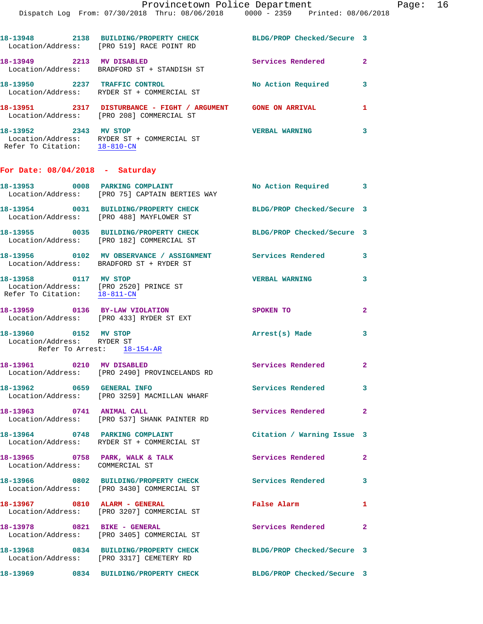| 18-13948<br>Location/Address:                       | 2138 | <b>BUILDING/PROPERTY CHECK</b><br>[PRO 519] RACE POINT RD     | BLDG/PROP Checked/Secure 3 |   |
|-----------------------------------------------------|------|---------------------------------------------------------------|----------------------------|---|
| 18-13949<br>Location/Address:                       | 2213 | <b>MV DISABLED</b><br>BRADFORD ST + STANDISH ST               | Services Rendered          | 2 |
| 18-13950                                            | 2237 | TRAFFIC CONTROL<br>Location/Address: RYDER ST + COMMERCIAL ST | No Action Required         | 3 |
| 18–13951<br>Location/Address:                       | 2317 | DISTURBANCE - FIGHT / ARGUMENT<br>[PRO 208] COMMERCIAL ST     | <b>GONE ON ARRIVAL</b>     | 1 |
| 18-13952<br>Location/Address:<br>Refer To Citation: | 2343 | MV STOP<br>RYDER ST + COMMERCIAL ST<br>$18 - 810 - CN$        | <b>VERBAL WARNING</b>      | 3 |

## **For Date: 08/04/2018 - Saturday**

|                                                                                   | 18-13953 0008 PARKING COMPLAINT<br>Location/Address: [PRO 75] CAPTAIN BERTIES WAY   | No Action Required                              | $\overline{\mathbf{3}}$ |
|-----------------------------------------------------------------------------------|-------------------------------------------------------------------------------------|-------------------------------------------------|-------------------------|
|                                                                                   | 18-13954 0031 BUILDING/PROPERTY CHECK<br>Location/Address: [PRO 488] MAYFLOWER ST   | BLDG/PROP Checked/Secure 3                      |                         |
|                                                                                   | 18-13955 0035 BUILDING/PROPERTY CHECK<br>Location/Address: [PRO 182] COMMERCIAL ST  | BLDG/PROP Checked/Secure 3                      |                         |
|                                                                                   | Location/Address: BRADFORD ST + RYDER ST                                            | <b>Services Rendered</b>                        | 3                       |
| 18-13958 0117 MV STOP<br>Refer To Citation: 18-811-CN                             | Location/Address: [PRO 2520] PRINCE ST                                              | <b>VERBAL WARNING</b>                           | 3                       |
|                                                                                   | 18-13959 0136 BY-LAW VIOLATION<br>Location/Address: [PRO 433] RYDER ST EXT          | SPOKEN TO                                       | $\overline{2}$          |
| 18-13960 0152 MV STOP<br>Location/Address: RYDER ST<br>Refer To Arrest: 18-154-AR |                                                                                     | Arrest(s) Made                                  | $\overline{\mathbf{3}}$ |
| 18-13961 0210 MV DISABLED                                                         | Location/Address: [PRO 2490] PROVINCELANDS RD                                       | $\overline{\phantom{0}}$ 2<br>Services Rendered |                         |
| 18-13962 0659 GENERAL INFO                                                        | Location/Address: [PRO 3259] MACMILLAN WHARF                                        | <b>Services Rendered</b>                        | $\overline{\mathbf{3}}$ |
| 18-13963 0741 ANIMAL CALL                                                         | Location/Address: [PRO 537] SHANK PAINTER RD                                        | Services Rendered 2                             |                         |
|                                                                                   | 18-13964 0748 PARKING COMPLAINT<br>Location/Address: RYDER ST + COMMERCIAL ST       | Citation / Warning Issue 3                      |                         |
| Location/Address: COMMERCIAL ST                                                   | 18-13965 0758 PARK, WALK & TALK                                                     | <b>Services Rendered</b>                        | $\overline{2}$          |
|                                                                                   | 18-13966 0802 BUILDING/PROPERTY CHECK<br>Location/Address: [PRO 3430] COMMERCIAL ST | Services Rendered 3                             |                         |
| 18-13967 0810 ALARM - GENERAL                                                     | Location/Address: [PRO 3207] COMMERCIAL ST                                          | False Alarm                                     | $\mathbf{1}$            |
| 18-13978 0821 BIKE - GENERAL                                                      | Location/Address: [PRO 3405] COMMERCIAL ST                                          | Services Rendered 2                             |                         |
|                                                                                   | 18-13968 0834 BUILDING/PROPERTY CHECK<br>Location/Address: [PRO 3317] CEMETERY RD   | BLDG/PROP Checked/Secure 3                      |                         |
|                                                                                   | 18-13969 0834 BUILDING/PROPERTY CHECK                                               | BLDG/PROP Checked/Secure 3                      |                         |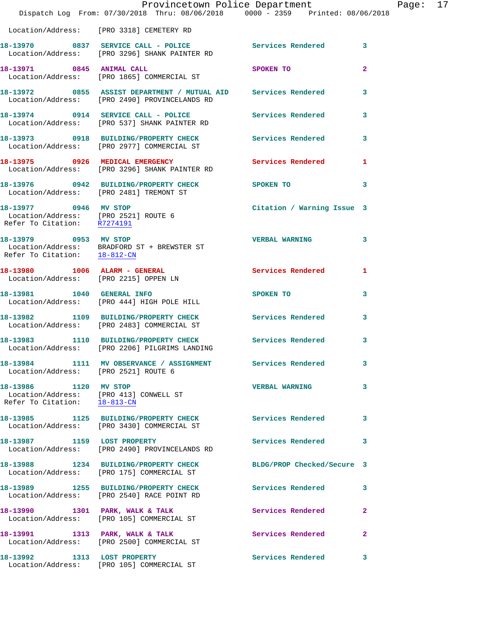|                                                                                                 | Dispatch Log From: 07/30/2018 Thru: 08/06/2018 0000 - 2359 Printed: 08/06/2018                                    | Provincetown Police Department | Page: 17                |
|-------------------------------------------------------------------------------------------------|-------------------------------------------------------------------------------------------------------------------|--------------------------------|-------------------------|
|                                                                                                 | Location/Address: [PRO 3318] CEMETERY RD                                                                          |                                |                         |
|                                                                                                 | 18-13970 0837 SERVICE CALL - POLICE Services Rendered 3<br>Location/Address: [PRO 3296] SHANK PAINTER RD          |                                |                         |
|                                                                                                 | 18-13971 0845 ANIMAL CALL<br>Location/Address: [PRO 1865] COMMERCIAL ST                                           | SPOKEN TO                      | $\mathbf{2}$            |
|                                                                                                 | 18-13972 0855 ASSIST DEPARTMENT / MUTUAL AID Services Rendered 3<br>Location/Address: [PRO 2490] PROVINCELANDS RD |                                |                         |
|                                                                                                 | 18-13974 0914 SERVICE CALL - POLICE<br>Location/Address: [PRO 537] SHANK PAINTER RD                               | Services Rendered              | $\overline{\mathbf{3}}$ |
|                                                                                                 | 18-13973 0918 BUILDING/PROPERTY CHECK Services Rendered 3<br>Location/Address: [PRO 2977] COMMERCIAL ST           |                                |                         |
|                                                                                                 |                                                                                                                   | Services Rendered              | -1                      |
|                                                                                                 | 18-13976 0942 BUILDING/PROPERTY CHECK SPOKEN TO<br>Location/Address: [PRO 2481] TREMONT ST                        |                                | 3                       |
| 18-13977 0946 MV STOP<br>Refer To Citation: R7274191                                            | Location/Address: [PRO 2521] ROUTE 6                                                                              | Citation / Warning Issue 3     |                         |
| Refer To Citation: 18-812-CN                                                                    | 18-13979 0953 MV STOP<br>Location/Address: BRADFORD ST + BREWSTER ST                                              | <b>VERBAL WARNING</b>          | 3                       |
|                                                                                                 | 18-13980 1006 ALARM - GENERAL<br>Location/Address: [PRO 2215] OPPEN LN                                            | Services Rendered              | -1                      |
|                                                                                                 | 18-13981 1040 GENERAL INFO<br>Location/Address: [PRO 444] HIGH POLE HILL                                          | SPOKEN TO                      | 3                       |
|                                                                                                 | 18-13982 1109 BUILDING/PROPERTY CHECK Services Rendered<br>Location/Address: [PRO 2483] COMMERCIAL ST             |                                | 3                       |
|                                                                                                 | 18-13983 1110 BUILDING/PROPERTY CHECK Services Rendered<br>Location/Address: [PRO 2206] PILGRIMS LANDING          |                                | 3                       |
| Location/Address: [PRO 2521] ROUTE 6                                                            | 18-13984 1111 MV OBSERVANCE / ASSIGNMENT Services Rendered                                                        |                                | $\overline{\mathbf{3}}$ |
| 18-13986 1120 MV STOP<br>Location/Address: [PRO 413] CONWELL ST<br>Refer To Citation: 18-813-CN |                                                                                                                   | <b>VERBAL WARNING</b>          | 3                       |
|                                                                                                 | 18-13985 1125 BUILDING/PROPERTY CHECK Services Rendered 3<br>Location/Address: [PRO 3430] COMMERCIAL ST           |                                |                         |
|                                                                                                 | 18-13987 1159 LOST PROPERTY<br>Location/Address: [PRO 2490] PROVINCELANDS RD                                      | Services Rendered              | 3                       |
|                                                                                                 | 18-13988 1234 BUILDING/PROPERTY CHECK BLDG/PROP Checked/Secure 3<br>Location/Address: [PRO 175] COMMERCIAL ST     |                                |                         |
|                                                                                                 | 18-13989 1255 BUILDING/PROPERTY CHECK<br>Location/Address: [PRO 2540] RACE POINT RD                               | Services Rendered              | $\overline{\mathbf{3}}$ |
|                                                                                                 | 18-13990 1301 PARK, WALK & TALK<br>Location/Address: [PRO 105] COMMERCIAL ST                                      | Services Rendered              | $\mathbf{2}$            |
|                                                                                                 | 18-13991 1313 PARK, WALK & TALK<br>Location/Address: [PRO 2500] COMMERCIAL ST                                     | Services Rendered              | $\mathbf{2}$            |
| 18-13992 1313 LOST PROPERTY                                                                     | Location/Address: [PRO 105] COMMERCIAL ST                                                                         | Services Rendered              | 3                       |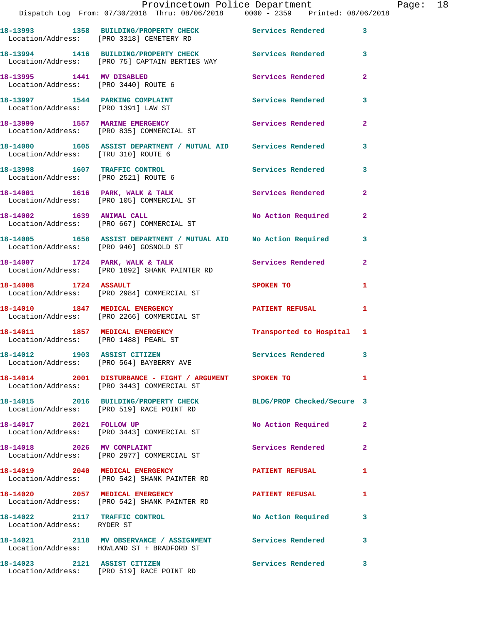|                                      | Provincetown Police Department The Page: 18<br>Dispatch Log From: 07/30/2018 Thru: 08/06/2018   0000 - 2359   Printed: 08/06/2018 |                             |                |  |
|--------------------------------------|-----------------------------------------------------------------------------------------------------------------------------------|-----------------------------|----------------|--|
|                                      | 18-13993 1358 BUILDING/PROPERTY CHECK Services Rendered<br>Location/Address: [PRO 3318] CEMETERY RD                               |                             | $\mathbf{3}$   |  |
|                                      | 18-13994 1416 BUILDING/PROPERTY CHECK Services Rendered 3<br>Location/Address: [PRO 75] CAPTAIN BERTIES WAY                       |                             |                |  |
| Location/Address: [PRO 3440] ROUTE 6 | 18-13995 1441 MV DISABLED                                                                                                         | Services Rendered           | $\mathbf{2}$   |  |
| Location/Address: [PRO 1391] LAW ST  | 18-13997 1544 PARKING COMPLAINT                                                                                                   | Services Rendered           | $\mathbf{3}$   |  |
|                                      |                                                                                                                                   | Services Rendered           | $\mathbf{2}$   |  |
| Location/Address: [TRU 310] ROUTE 6  | 18-14000 1605 ASSIST DEPARTMENT / MUTUAL AID Services Rendered                                                                    |                             | 3              |  |
|                                      | 18-13998 1607 TRAFFIC CONTROL<br>Location/Address: [PRO 2521] ROUTE 6                                                             | Services Rendered 3         |                |  |
|                                      | 18-14001 1616 PARK, WALK & TALK 1997 Services Rendered<br>Location/Address: [PRO 105] COMMERCIAL ST                               |                             | $\mathbf{2}$   |  |
|                                      | 18-14002 1639 ANIMAL CALL<br>Location/Address: [PRO 667] COMMERCIAL ST                                                            | No Action Required 2        |                |  |
|                                      | 18-14005 1658 ASSIST DEPARTMENT / MUTUAL AID No Action Required<br>Location/Address: [PRO 940] GOSNOLD ST                         |                             | $\mathbf{3}$   |  |
|                                      | 18-14007 1724 PARK, WALK & TALK Services Rendered<br>Location/Address: [PRO 1892] SHANK PAINTER RD                                |                             | $\overline{2}$ |  |
|                                      | 18-14008 1724 ASSAULT<br>Location/Address: [PRO 2984] COMMERCIAL ST                                                               | SPOKEN TO AND THE SPOKEN TO | 1              |  |
|                                      | 18-14010 1847 MEDICAL EMERGENCY PATIENT REFUSAL<br>Location/Address: [PRO 2266] COMMERCIAL ST                                     |                             | 1.             |  |
|                                      | 18-14011 1857 MEDICAL EMERGENCY Transported to Hospital 1 Location/Address: [PRO 1488] PEARL ST                                   |                             |                |  |
|                                      | 18-14012 1903 ASSIST CITIZEN<br>Location/Address: [PRO 564] BAYBERRY AVE                                                          | <b>Services Rendered</b>    |                |  |
|                                      | 18-14014 2001 DISTURBANCE - FIGHT / ARGUMENT SPOKEN TO<br>Location/Address: [PRO 3443] COMMERCIAL ST                              |                             | $\mathbf{1}$   |  |
|                                      | 18-14015 2016 BUILDING/PROPERTY CHECK BLDG/PROP Checked/Secure 3<br>Location/Address: [PRO 519] RACE POINT RD                     |                             |                |  |
|                                      | 18-14017 2021 FOLLOW UP<br>Location/Address: [PRO 3443] COMMERCIAL ST                                                             | No Action Required          | 2              |  |
|                                      | 18-14018 2026 MV COMPLAINT<br>Location/Address: [PRO 2977] COMMERCIAL ST                                                          | Services Rendered           | $\mathbf{2}$   |  |
|                                      | 18-14019 2040 MEDICAL EMERGENCY<br>Location/Address: [PRO 542] SHANK PAINTER RD                                                   | <b>PATIENT REFUSAL</b>      | 1              |  |
|                                      | 18-14020 2057 MEDICAL EMERGENCY PATIENT REFUSAL<br>Location/Address: [PRO 542] SHANK PAINTER RD                                   |                             | 1              |  |
| Location/Address: RYDER ST           | 18-14022 2117 TRAFFIC CONTROL                                                                                                     | No Action Required          | 3              |  |
|                                      | 18-14021 2118 MV OBSERVANCE / ASSIGNMENT Services Rendered<br>Location/Address: HOWLAND ST + BRADFORD ST                          |                             | 3              |  |
|                                      | 18-14023 2121 ASSIST CITIZEN<br>Location/Address: [PRO 519] RACE POINT RD                                                         | Services Rendered           | 3              |  |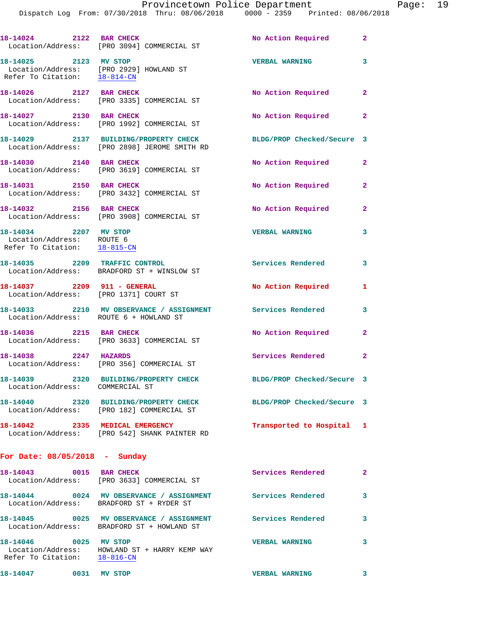|                                                                                    | 18-14024 2122 BAR CHECK<br>Location/Address: [PRO 3094] COMMERCIAL ST                                    | No Action Required         | $\mathbf{2}$               |
|------------------------------------------------------------------------------------|----------------------------------------------------------------------------------------------------------|----------------------------|----------------------------|
| 18-14025 2123 MV STOP<br>Refer To Citation: 18-814-CN                              | Location/Address: [PRO 2929] HOWLAND ST                                                                  | <b>VERBAL WARNING</b>      | 3                          |
| 18-14026 2127 BAR CHECK                                                            | Location/Address: [PRO 3335] COMMERCIAL ST                                                               | No Action Required         | $\mathbf{2}$               |
| 18-14027 2130 BAR CHECK                                                            | Location/Address: [PRO 1992] COMMERCIAL ST                                                               | No Action Required         | $\mathbf{2}$               |
|                                                                                    | 18-14029 2137 BUILDING/PROPERTY CHECK<br>Location/Address: [PRO 2898] JEROME SMITH RD                    | BLDG/PROP Checked/Secure 3 |                            |
| 18-14030 2140 BAR CHECK                                                            | Location/Address: [PRO 3619] COMMERCIAL ST                                                               | No Action Required 2       |                            |
| 18-14031 2150 BAR CHECK                                                            | Location/Address: [PRO 3432] COMMERCIAL ST                                                               | No Action Required         | $\overline{2}$             |
| 18-14032 2156 BAR CHECK                                                            | Location/Address: [PRO 3908] COMMERCIAL ST                                                               | No Action Required         | $\overline{2}$             |
| 18-14034 2207 MV STOP<br>Location/Address: ROUTE 6<br>Refer To Citation: 18-815-CN |                                                                                                          | <b>VERBAL WARNING</b>      | 3                          |
|                                                                                    | 18-14035 2209 TRAFFIC CONTROL<br>Location/Address: BRADFORD ST + WINSLOW ST                              | Services Rendered          | $\overline{\phantom{a}}$ 3 |
| 18-14037  2209  911 - GENERAL                                                      | Location/Address: [PRO 1371] COURT ST                                                                    | No Action Required         | 1                          |
| Location/Address: ROUTE 6 + HOWLAND ST                                             | 18-14033 2210 MV OBSERVANCE / ASSIGNMENT Services Rendered                                               |                            | 3                          |
| 18-14036 2215 BAR CHECK                                                            | Location/Address: [PRO 3633] COMMERCIAL ST                                                               | No Action Required         | $\mathbf{2}$               |
| 18-14038 2247 HAZARDS                                                              | Location/Address: [PRO 356] COMMERCIAL ST                                                                | Services Rendered 2        |                            |
| 18-14039<br>Location/Address: COMMERCIAL ST                                        | 2320 BUILDING/PROPERTY CHECK                                                                             | BLDG/PROP Checked/Secure 3 |                            |
|                                                                                    | 18-14040 2320 BUILDING/PROPERTY CHECK<br>Location/Address: [PRO 182] COMMERCIAL ST                       | BLDG/PROP Checked/Secure 3 |                            |
| 18-14042 2335 MEDICAL EMERGENCY                                                    | Location/Address: [PRO 542] SHANK PAINTER RD                                                             | Transported to Hospital 1  |                            |
| For Date: $08/05/2018$ - Sunday                                                    |                                                                                                          |                            |                            |
| 18-14043 0015 BAR CHECK                                                            | Location/Address: [PRO 3633] COMMERCIAL ST                                                               | Services Rendered 2        |                            |
|                                                                                    | Location/Address: BRADFORD ST + RYDER ST                                                                 |                            | 3                          |
|                                                                                    | 18-14045 0025 MV OBSERVANCE / ASSIGNMENT Services Rendered<br>Location/Address: BRADFORD ST + HOWLAND ST |                            | 3                          |
| 18-14046 0025 MV STOP<br>Refer To Citation: 18-816-CN                              | Location/Address: HOWLAND ST + HARRY KEMP WAY                                                            | <b>VERBAL WARNING</b>      | 3                          |

**18-14047 0031 MV STOP VERBAL WARNING 3**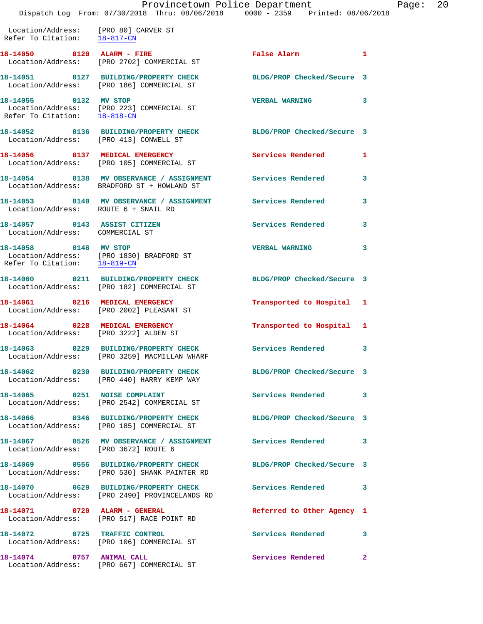Location/Address: [PRO 80] CARVER ST Refer To Citation: 18-817-CN

18-14050 **0120** ALARM - FIRE **False Alarm** 1 Location/Address: [PRO 2702] COMMERCIAL ST **18-14051 0127 BUILDING/PROPERTY CHECK BLDG/PROP Checked/Secure 3**  Location/Address: [PRO 186] COMMERCIAL ST **18-14055 0132 MV STOP VERBAL WARNING 3**  Location/Address: [PRO 223] COMMERCIAL ST Refer To Citation: 18-818-CN **18-14052 0136 BUILDING/PROPERTY CHECK BLDG/PROP Checked/Secure 3**  Location/Address: [PRO 413] CONWELL ST **18-14056 0137 MEDICAL EMERGENCY Services Rendered 1**  Location/Address: [PRO 105] COMMERCIAL ST **18-14054 0138 MV OBSERVANCE / ASSIGNMENT Services Rendered 3**  Location/Address: BRADFORD ST + HOWLAND ST **18-14053 0140 MV OBSERVANCE / ASSIGNMENT Services Rendered 3**  Location/Address: ROUTE 6 + SNAIL RD **18-14057 0143 ASSIST CITIZEN Services Rendered 3**  Location/Address: COMMERCIAL ST **18-14058 0148 MV STOP VERBAL WARNING 3**  Location/Address: [PRO 1830] BRADFORD ST Refer To Citation: 18-819-CN **18-14060 0211 BUILDING/PROPERTY CHECK BLDG/PROP Checked/Secure 3**  Location/Address: [PRO 182] COMMERCIAL ST **18-14061 0216 MEDICAL EMERGENCY Transported to Hospital 1**  Location/Address: [PRO 2002] PLEASANT ST **18-14064 0228 MEDICAL EMERGENCY Transported to Hospital 1**  Location/Address: [PRO 3222] ALDEN ST **18-14063 0229 BUILDING/PROPERTY CHECK Services Rendered 3**  Location/Address: [PRO 3259] MACMILLAN WHARF **18-14062 0230 BUILDING/PROPERTY CHECK BLDG/PROP Checked/Secure 3**  Location/Address: [PRO 440] HARRY KEMP WAY 18-14065 0251 NOISE COMPLAINT **Services Rendered** 3 Location/Address: [PRO 2542] COMMERCIAL ST **18-14066 0346 BUILDING/PROPERTY CHECK BLDG/PROP Checked/Secure 3**  Location/Address: [PRO 185] COMMERCIAL ST **18-14067 0526 MV OBSERVANCE / ASSIGNMENT Services Rendered 3**  Location/Address: [PRO 3672] ROUTE 6 **18-14069 0556 BUILDING/PROPERTY CHECK BLDG/PROP Checked/Secure 3**  Location/Address: [PRO 530] SHANK PAINTER RD **18-14070 0629 BUILDING/PROPERTY CHECK Services Rendered 3**  Location/Address: [PRO 2490] PROVINCELANDS RD **18-14071 0720 ALARM - GENERAL Referred to Other Agency 1**  Location/Address: [PRO 517] RACE POINT RD **18-14072 0725 TRAFFIC CONTROL Services Rendered 3** 

**18-14074 0757 ANIMAL CALL Services Rendered 2**  Location/Address: [PRO 667] COMMERCIAL ST

- 
- 

Location/Address: [PRO 106] COMMERCIAL ST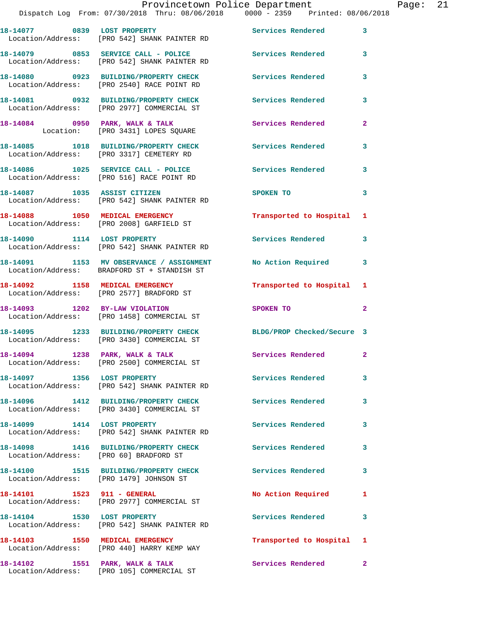## Provincetown Police Department Fage: 21 Dispatch Log From: 07/30/2018 Thru: 08/06/2018 0000 - 2359 Printed: 08/06/2018 **18-14077 0839 LOST PROPERTY Services Rendered 3**  Location/Address: [PRO 542] SHANK PAINTER RD **18-14079 0853 SERVICE CALL - POLICE Services Rendered 3**  Location/Address: [PRO 542] SHANK PAINTER RD **18-14080 0923 BUILDING/PROPERTY CHECK Services Rendered 3**  Location/Address: [PRO 2540] RACE POINT RD **18-14081 0932 BUILDING/PROPERTY CHECK Services Rendered 3**  Location/Address: [PRO 2977] COMMERCIAL ST **18-14084 0950 PARK, WALK & TALK Services Rendered 2**  Location: [PRO 3431] LOPES SQUARE **18-14085 1018 BUILDING/PROPERTY CHECK Services Rendered 3**  Location/Address: [PRO 3317] CEMETERY RD **18-14086 1025 SERVICE CALL - POLICE Services Rendered 3**  Location/Address: [PRO 516] RACE POINT RD **18-14087 1035 ASSIST CITIZEN SPOKEN TO 3**  Location/Address: [PRO 542] SHANK PAINTER RD **18-14088 1050 MEDICAL EMERGENCY Transported to Hospital 1**  Location/Address: [PRO 2008] GARFIELD ST **18-14090 1114 LOST PROPERTY Services Rendered 3**  Location/Address: [PRO 542] SHANK PAINTER RD **18-14091 1153 MV OBSERVANCE / ASSIGNMENT No Action Required 3**  Location/Address: BRADFORD ST + STANDISH ST **18-14092 1158 MEDICAL EMERGENCY Transported to Hospital 1**  Location/Address: [PRO 2577] BRADFORD ST **18-14093 1202 BY-LAW VIOLATION SPOKEN TO 2**  Location/Address: [PRO 1458] COMMERCIAL ST **18-14095 1233 BUILDING/PROPERTY CHECK BLDG/PROP Checked/Secure 3**  Location/Address: [PRO 3430] COMMERCIAL ST 18-14094 1238 PARK, WALK & TALK **Services Rendered** 2 Location/Address: [PRO 2500] COMMERCIAL ST **18-14097 1356 LOST PROPERTY Services Rendered 3**  Location/Address: [PRO 542] SHANK PAINTER RD **18-14096 1412 BUILDING/PROPERTY CHECK Services Rendered 3**  Location/Address: [PRO 3430] COMMERCIAL ST **18-14099 1414 LOST PROPERTY Services Rendered 3**  Location/Address: [PRO 542] SHANK PAINTER RD **18-14098 1416 BUILDING/PROPERTY CHECK Services Rendered 3**  Location/Address: [PRO 60] BRADFORD ST **18-14100 1515 BUILDING/PROPERTY CHECK Services Rendered 3**  Location/Address: [PRO 1479] JOHNSON ST

Location/Address: [PRO 2977] COMMERCIAL ST

Location/Address: [PRO 542] SHANK PAINTER RD

Location/Address: [PRO 440] HARRY KEMP WAY

Location/Address: [PRO 105] COMMERCIAL ST

18-14102 1551 PARK, WALK & TALK **Services Rendered** 2

**18-14101 1523 911 - GENERAL No Action Required 1** 

18-14104 1530 LOST PROPERTY **18-14104** Services Rendered 3

**18-14103 1550 MEDICAL EMERGENCY Transported to Hospital 1**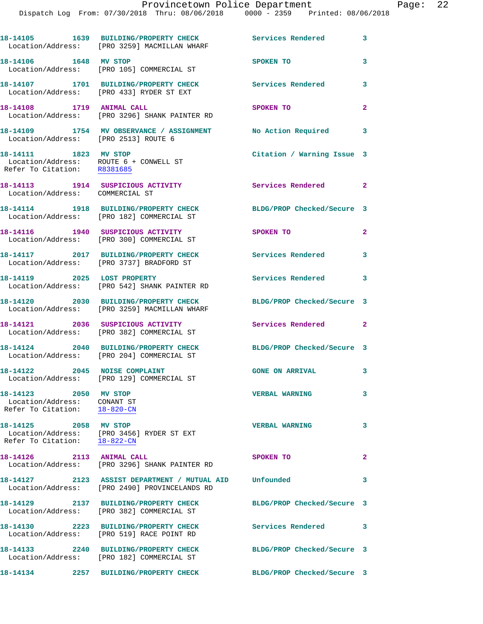|                                                                                                | 18-14105 1639 BUILDING/PROPERTY CHECK<br>Location/Address: [PRO 3259] MACMILLAN WHARF                   | Services Rendered 3        |                         |
|------------------------------------------------------------------------------------------------|---------------------------------------------------------------------------------------------------------|----------------------------|-------------------------|
| 18-14106 1648 MV STOP                                                                          | Location/Address: [PRO 105] COMMERCIAL ST                                                               | SPOKEN TO                  | 3                       |
|                                                                                                | 18-14107 1701 BUILDING/PROPERTY CHECK<br>Location/Address: [PRO 433] RYDER ST EXT                       | <b>Services Rendered</b>   | 3                       |
| 18-14108 1719 ANIMAL CALL                                                                      | Location/Address: [PRO 3296] SHANK PAINTER RD                                                           | SPOKEN TO                  | $\overline{2}$          |
| Location/Address: [PRO 2513] ROUTE 6                                                           | 18-14109 1754 MV OBSERVANCE / ASSIGNMENT                                                                | No Action Required         | $\overline{\mathbf{3}}$ |
| 18-14111 1823 MV STOP<br>Location/Address: ROUTE 6 + CONWELL ST<br>Refer To Citation: R8381685 |                                                                                                         | Citation / Warning Issue 3 |                         |
| Location/Address: COMMERCIAL ST                                                                | 18-14113 1914 SUSPICIOUS ACTIVITY                                                                       | Services Rendered 2        |                         |
|                                                                                                | 18-14114 1918 BUILDING/PROPERTY CHECK<br>Location/Address: [PRO 182] COMMERCIAL ST                      | BLDG/PROP Checked/Secure 3 |                         |
|                                                                                                | 18-14116 1940 SUSPICIOUS ACTIVITY<br>Location/Address: [PRO 300] COMMERCIAL ST                          | SPOKEN TO                  | $\mathbf{2}$            |
|                                                                                                | 18-14117 2017 BUILDING/PROPERTY CHECK<br>Location/Address: [PRO 3737] BRADFORD ST                       | <b>Services Rendered</b>   | 3                       |
| 18-14119 2025 LOST PROPERTY                                                                    | Location/Address: [PRO 542] SHANK PAINTER RD                                                            | <b>Services Rendered</b>   | 3                       |
|                                                                                                | 18-14120 2030 BUILDING/PROPERTY CHECK<br>Location/Address: [PRO 3259] MACMILLAN WHARF                   | BLDG/PROP Checked/Secure 3 |                         |
|                                                                                                | 18-14121 2036 SUSPICIOUS ACTIVITY<br>Location/Address: [PRO 382] COMMERCIAL ST                          | Services Rendered 2        |                         |
|                                                                                                | 18-14124 2040 BUILDING/PROPERTY CHECK<br>Location/Address: [PRO 204] COMMERCIAL ST                      | BLDG/PROP Checked/Secure 3 |                         |
| 18-14122 2045 NOISE COMPLAINT                                                                  | Location/Address: [PRO 129] COMMERCIAL ST                                                               | <b>GONE ON ARRIVAL</b>     | 3                       |
| 18-14123 2050 MV STOP<br>Location/Address: CONANT ST<br>Refer To Citation: 18-820-CN           |                                                                                                         | <b>VERBAL WARNING</b>      | 3                       |
| 18-14125 2058 MV STOP<br>Refer To Citation: 18-822-CN                                          | Location/Address: [PRO 3456] RYDER ST EXT                                                               | <b>VERBAL WARNING</b>      | 3                       |
| 18-14126 2113 ANIMAL CALL                                                                      | Location/Address: [PRO 3296] SHANK PAINTER RD                                                           | SPOKEN TO                  | $\overline{2}$          |
|                                                                                                | 18-14127 2123 ASSIST DEPARTMENT / MUTUAL AID Unfounded<br>Location/Address: [PRO 2490] PROVINCELANDS RD |                            | 3                       |
|                                                                                                | 18-14129 2137 BUILDING/PROPERTY CHECK<br>Location/Address: [PRO 382] COMMERCIAL ST                      | BLDG/PROP Checked/Secure 3 |                         |
|                                                                                                | 18-14130 2223 BUILDING/PROPERTY CHECK<br>Location/Address: [PRO 519] RACE POINT RD                      | <b>Services Rendered</b>   | 3                       |
|                                                                                                | 18-14133 2240 BUILDING/PROPERTY CHECK<br>Location/Address: [PRO 182] COMMERCIAL ST                      | BLDG/PROP Checked/Secure 3 |                         |
|                                                                                                |                                                                                                         |                            |                         |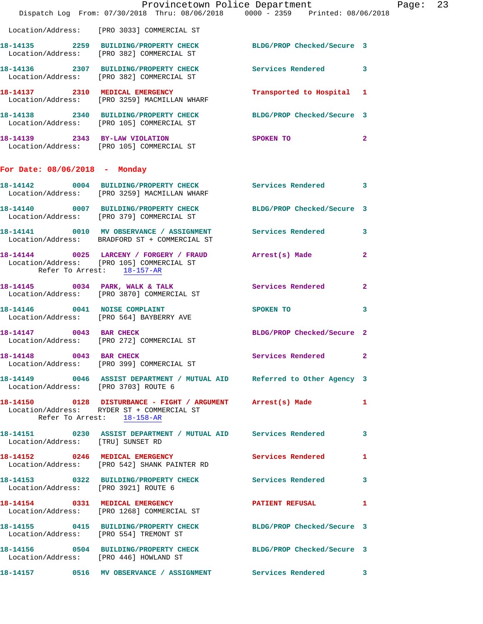|                                        | Provincetown Police Department<br>Dispatch Log From: 07/30/2018 Thru: 08/06/2018 0000 - 2359 Printed: 08/06/2018 |                            |                |
|----------------------------------------|------------------------------------------------------------------------------------------------------------------|----------------------------|----------------|
|                                        | Location/Address: [PRO 3033] COMMERCIAL ST                                                                       |                            |                |
|                                        | 18-14135  2259  BUILDING/PROPERTY CHECK BLDG/PROP Checked/Secure 3<br>Location/Address: [PRO 382] COMMERCIAL ST  |                            |                |
|                                        |                                                                                                                  |                            | 3              |
|                                        | 18-14137 2310 MEDICAL EMERGENCY<br>Location/Address: [PRO 3259] MACMILLAN WHARF                                  | Transported to Hospital    | 1              |
|                                        | 18-14138 2340 BUILDING/PROPERTY CHECK<br>Location/Address: [PRO 105] COMMERCIAL ST                               | BLDG/PROP Checked/Secure 3 |                |
|                                        | 18-14139 2343 BY-LAW VIOLATION<br>Location/Address: [PRO 105] COMMERCIAL ST                                      | SPOKEN TO                  | $\overline{a}$ |
| For Date: $08/06/2018$ - Monday        |                                                                                                                  |                            |                |
|                                        | 18-14142 0004 BUILDING/PROPERTY CHECK Services Rendered<br>Location/Address: [PRO 3259] MACMILLAN WHARF          |                            | 3              |
|                                        | 18-14140 0007 BUILDING/PROPERTY CHECK BLDG/PROP Checked/Secure 3<br>Location/Address: [PRO 379] COMMERCIAL ST    |                            |                |
|                                        | 18-14141  0010 MV OBSERVANCE / ASSIGNMENT Services Rendered<br>Location/Address: BRADFORD ST + COMMERCIAL ST     |                            | 3              |
| Refer To Arrest: 18-157-AR             | 18-14144 0025 LARCENY / FORGERY / FRAUD Arrest(s) Made<br>Location/Address: [PRO 105] COMMERCIAL ST              |                            | 2              |
|                                        | 18-14145 0034 PARK, WALK & TALK<br>Location/Address: [PRO 3870] COMMERCIAL ST                                    | Services Rendered          | $\mathbf{2}$   |
|                                        | 18-14146 0041 NOISE COMPLAINT<br>Location/Address: [PRO 564] BAYBERRY AVE                                        | SPOKEN TO                  | 3              |
| 18-14147 0043 BAR CHECK                | Location/Address: [PRO 272] COMMERCIAL ST                                                                        | BLDG/PROP Checked/Secure 2 |                |
| 18-14148 0043 BAR CHECK                | Location/Address: [PRO 399] COMMERCIAL ST                                                                        | Services Rendered          | $\overline{2}$ |
| Location/Address: [PRO 3703] ROUTE 6   | 18-14149 0046 ASSIST DEPARTMENT / MUTUAL AID Referred to Other Agency 3                                          |                            |                |
| Refer To Arrest: 18-158-AR             | 18-14150 0128 DISTURBANCE - FIGHT / ARGUMENT Arrest(s) Made<br>Location/Address: RYDER ST + COMMERCIAL ST        |                            | 1              |
| Location/Address: [TRU] SUNSET RD      | 18-14151 0230 ASSIST DEPARTMENT / MUTUAL AID Services Rendered                                                   |                            | 3              |
|                                        | 18-14152 0246 MEDICAL EMERGENCY<br>Location/Address: [PRO 542] SHANK PAINTER RD                                  | Services Rendered          | 1              |
|                                        | 18-14153 0322 BUILDING/PROPERTY CHECK Services Rendered<br>Location/Address: [PRO 3921] ROUTE 6                  |                            | 3              |
|                                        | 18-14154 0331 MEDICAL EMERGENCY<br>Location/Address: [PRO 1268] COMMERCIAL ST                                    | <b>PATIENT REFUSAL</b>     | 1              |
| Location/Address: [PRO 554] TREMONT ST | 18-14155 0415 BUILDING/PROPERTY CHECK BLDG/PROP Checked/Secure 3                                                 |                            |                |
| Location/Address: [PRO 446] HOWLAND ST | 18-14156 0504 BUILDING/PROPERTY CHECK BLDG/PROP Checked/Secure 3                                                 |                            |                |
|                                        | 18-14157 0516 MV OBSERVANCE / ASSIGNMENT Services Rendered 3                                                     |                            |                |